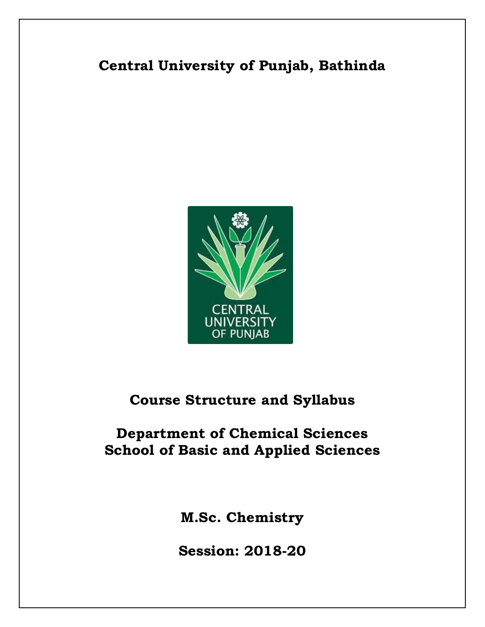# **Central University of Punjab, Bathinda**



# **Course Structure and Syllabus**

# **Department of Chemical Sciences School of Basic and Applied Sciences**

**M.Sc. Chemistry**

**Session: 2018-20**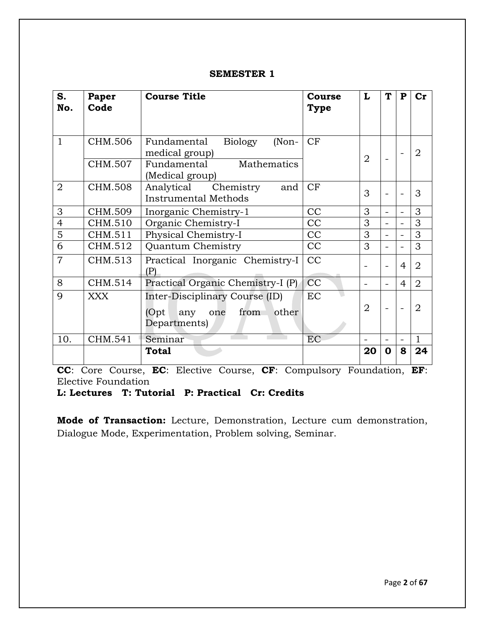| S.<br>No.      | Paper<br>Code      | <b>Course Title</b>                                                                               | Course<br>Type | L              | T        | P              | Cr             |
|----------------|--------------------|---------------------------------------------------------------------------------------------------|----------------|----------------|----------|----------------|----------------|
| $\mathbf{1}$   | CHM.506<br>CHM.507 | Fundamental<br>Biology<br>$(Non-$<br>medical group)<br>Fundamental Mathematics<br>(Medical group) | CF             | $\overline{2}$ |          |                | 2              |
| $\overline{2}$ | <b>CHM.508</b>     | Analytical Chemistry<br>and<br><b>Instrumental Methods</b>                                        | CF             | 3              |          |                | 3              |
| 3              | CHM.509            | Inorganic Chemistry-1                                                                             | CC             | 3              | ÷.       | $\sim$         | 3              |
| $\overline{4}$ | CHM.510            | Organic Chemistry-I                                                                               | CC             | 3              |          |                | 3              |
| 5              | CHM.511            | Physical Chemistry-I                                                                              | CC             | 3              |          |                | 3              |
| 6              | CHM.512            | Quantum Chemistry                                                                                 | CC             | 3              |          |                | 3              |
| $\overline{7}$ | CHM.513            | Practical Inorganic Chemistry-I<br>(P)                                                            | CC             |                |          | $\overline{4}$ | $\overline{2}$ |
| 8              | CHM.514            | Practical Organic Chemistry-I (P)                                                                 | CC             |                |          | 4              | $\overline{2}$ |
| $\mathbf Q$    | <b>XXX</b>         | Inter-Disciplinary Course (ID)<br>from<br>other<br>(Opt-<br>any one<br>Departments)               | EC             | $\overline{2}$ | $\equiv$ |                | $\overline{2}$ |
| 10.            | CHM.541            | Seminar                                                                                           | EC             |                |          |                | $\mathbf{1}$   |
|                |                    | <b>Total</b>                                                                                      |                | 20             | 0        | 8              | 24             |

**CC**: Core Course, **EC**: Elective Course, **CF**: Compulsory Foundation, **EF**: Elective Foundation

**L: Lectures T: Tutorial P: Practical Cr: Credits**

**Mode of Transaction:** Lecture, Demonstration, Lecture cum demonstration, Dialogue Mode, Experimentation, Problem solving, Seminar.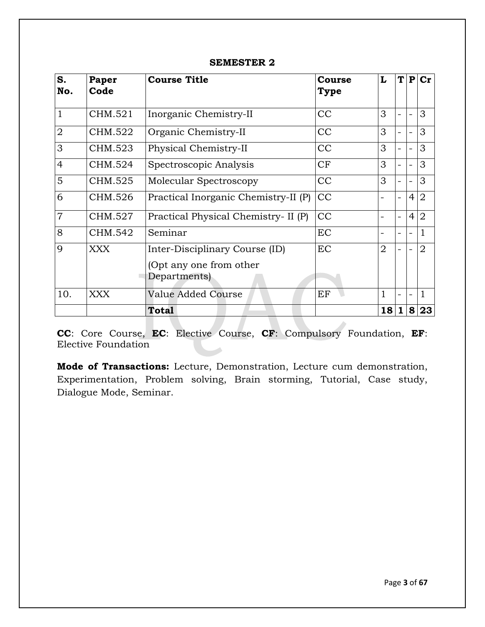| S.<br>No.      | Paper<br>Code | <b>Course Title</b>                                                       | <b>Course</b><br><b>Type</b> | L                        |   |                | T P Cr         |
|----------------|---------------|---------------------------------------------------------------------------|------------------------------|--------------------------|---|----------------|----------------|
| 1              | CHM.521       | Inorganic Chemistry-II                                                    | CC                           | 3                        |   |                | 3              |
| $\overline{2}$ | CHM.522       | Organic Chemistry-II                                                      | CC                           | 3                        |   |                | 3              |
| 3              | CHM.523       | Physical Chemistry-II                                                     | CC                           | 3                        |   |                | 3              |
| $\overline{4}$ | CHM.524       | Spectroscopic Analysis                                                    | CF                           | 3                        |   |                | 3              |
| 5              | CHM.525       | Molecular Spectroscopy                                                    | CC                           | 3                        |   |                | 3              |
| 6              | CHM.526       | Practical Inorganic Chemistry-II (P)                                      | CC                           |                          |   | 4 <sup>1</sup> | 2              |
| $\overline{7}$ | CHM.527       | Practical Physical Chemistry- II (P)                                      | CC                           | -                        |   | 4 <sup>1</sup> | $\overline{2}$ |
| 8              | CHM.542       | Seminar                                                                   | EC                           | $\overline{\phantom{0}}$ |   |                | 1              |
| 9              | XXX           | Inter-Disciplinary Course (ID)<br>(Opt any one from other<br>Departments) | EC                           | $\overline{2}$           | - |                | $\overline{2}$ |
| 10.            | <b>XXX</b>    | Value Added Course                                                        | ΕF                           | $\overline{1}$           |   |                | $\mathbf{1}$   |
|                |               | <b>Total</b>                                                              |                              | 18                       | 1 | 8 <sup>1</sup> | 23             |

**CC**: Core Course, **EC**: Elective Course, **CF**: Compulsory Foundation, **EF**: Elective Foundation

**Mode of Transactions:** Lecture, Demonstration, Lecture cum demonstration, Experimentation, Problem solving, Brain storming, Tutorial, Case study, Dialogue Mode, Seminar.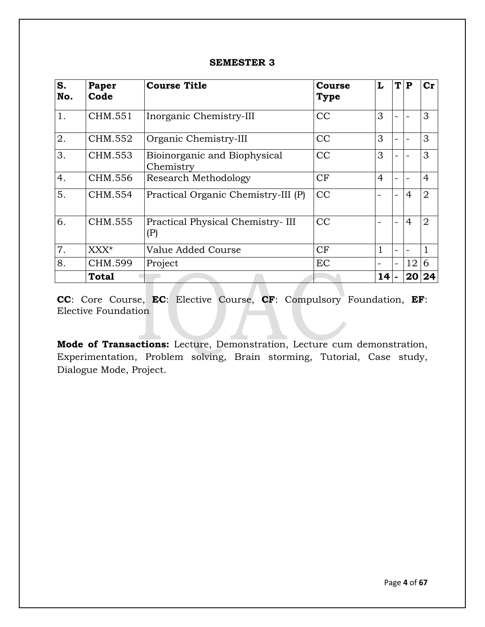| S.<br>No. | Paper<br>Code | <b>Course Title</b>                       | Course<br>Type | L              | T P                      |                | Cr             |
|-----------|---------------|-------------------------------------------|----------------|----------------|--------------------------|----------------|----------------|
| 1.        | CHM.551       | Inorganic Chemistry-III                   | CC             | 3              |                          |                | 3              |
| 2.        | CHM.552       | Organic Chemistry-III                     | <b>CC</b>      | 3              | -                        |                | 3              |
| 3.        | CHM.553       | Bioinorganic and Biophysical<br>Chemistry | CC             | 3              |                          |                | 3              |
| 4.        | CHM.556       | <b>Research Methodology</b>               | CF             | $\overline{4}$ |                          |                | $\overline{4}$ |
| 5.        | CHM.554       | Practical Organic Chemistry-III (P)       | CC             |                |                          | $\overline{4}$ | $\overline{2}$ |
| 6.        | CHM.555       | Practical Physical Chemistry-III<br>(P)   | CC             |                | $\overline{\phantom{0}}$ | $\overline{4}$ | $\overline{2}$ |
| 7.        | $XXX^*$       | Value Added Course                        | CF             | $\mathbf{1}$   | -                        |                | $\mathbf{1}$   |
| 8.        | CHM.599       | Project                                   | <b>EC</b>      |                |                          | 12             | 6              |
|           | <b>Total</b>  |                                           |                | 14             | $\sim$                   | 20             | 24             |

**CC**: Core Course, **EC**: Elective Course, **CF**: Compulsory Foundation, **EF**: Elective Foundation

**Mode of Transactions:** Lecture, Demonstration, Lecture cum demonstration, Experimentation, Problem solving, Brain storming, Tutorial, Case study, Dialogue Mode, Project.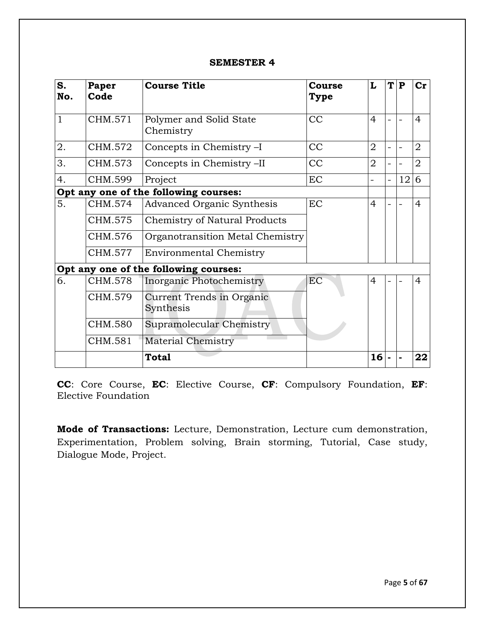| S.<br>No.    | Paper<br>Code                         | <b>Course Title</b><br>Course<br>Type  |           | L               | T                        | $\mathbf{P}$ | $cr$           |
|--------------|---------------------------------------|----------------------------------------|-----------|-----------------|--------------------------|--------------|----------------|
| $\mathbf{1}$ | CHM.571                               | Polymer and Solid State<br>Chemistry   | CC        | $\overline{4}$  |                          |              | $\overline{4}$ |
| 2.           | CHM.572                               | Concepts in Chemistry -I               | CC        | $\overline{2}$  |                          |              | $\overline{2}$ |
| 3.           | CHM.573                               | Concepts in Chemistry -II              | CC        |                 |                          |              | $\overline{2}$ |
| 4.           | CHM.599                               | Project                                | EC        | ÷.              | $\overline{\phantom{0}}$ | 12           | 6              |
|              | Opt any one of the following courses: |                                        |           |                 |                          |              |                |
| 5.           | CHM.574                               | Advanced Organic Synthesis             | <b>EC</b> | $\overline{4}$  |                          |              | 4              |
|              | CHM.575                               | <b>Chemistry of Natural Products</b>   |           |                 |                          |              |                |
|              | CHM.576                               | Organotransition Metal Chemistry       |           |                 |                          |              |                |
|              | CHM.577                               | <b>Environmental Chemistry</b>         |           |                 |                          |              |                |
|              |                                       | Opt any one of the following courses:  |           |                 |                          |              |                |
| 6.           | CHM.578                               | Inorganic Photochemistry               | EC        | $\overline{4}$  |                          |              | 4              |
|              | CHM.579                               | Current Trends in Organic<br>Synthesis |           |                 |                          |              |                |
|              | CHM.580                               | Supramolecular Chemistry               |           |                 |                          |              |                |
|              | CHM.581                               | <b>Material Chemistry</b>              |           |                 |                          |              |                |
|              |                                       | <b>Total</b>                           |           | 16 <sup>1</sup> |                          |              | 22             |

**CC**: Core Course, **EC**: Elective Course, **CF**: Compulsory Foundation, **EF**: Elective Foundation

**Mode of Transactions:** Lecture, Demonstration, Lecture cum demonstration, Experimentation, Problem solving, Brain storming, Tutorial, Case study, Dialogue Mode, Project.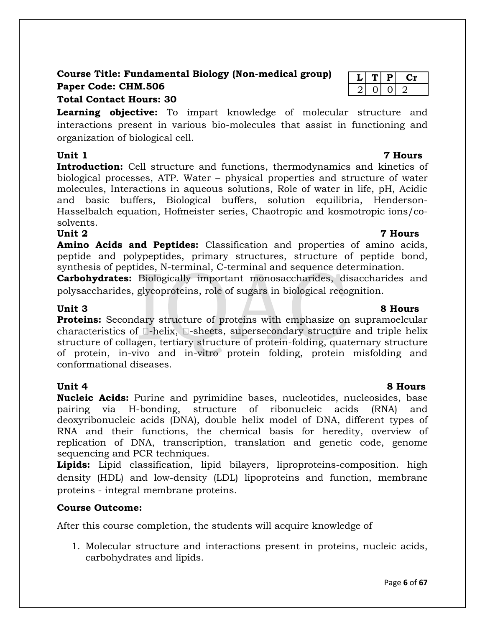# **Course Title: Fundamental Biology (Non-medical group) Paper Code: CHM.506**

## **Total Contact Hours: 30**

**Learning objective:** To impart knowledge of molecular structure and interactions present in various bio-molecules that assist in functioning and organization of biological cell.

**Unit 1 7 Hours Introduction:** Cell structure and functions, thermodynamics and kinetics of biological processes, ATP. Water – physical properties and structure of water molecules, Interactions in aqueous solutions, Role of water in life, pH, Acidic and basic buffers, Biological buffers, solution equilibria, Henderson-Hasselbalch equation, Hofmeister series, Chaotropic and kosmotropic ions/cosolvents.

## **Unit 2 7 Hours**

**Amino Acids and Peptides:** Classification and properties of amino acids, peptide and polypeptides, primary structures, structure of peptide bond, synthesis of peptides, N-terminal, C-terminal and sequence determination.

**Carbohydrates:** Biologically important monosaccharides, disaccharides and polysaccharides, glycoproteins, role of sugars in biological recognition.

**Proteins:** Secondary structure of proteins with emphasize on supramoelcular characteristics of  $\Box$ -helix,  $\Box$ -sheets, supersecondary structure and triple helix structure of collagen, tertiary structure of protein-folding, quaternary structure of protein, in-vivo and in-vitro protein folding, protein misfolding and conformational diseases.

**Nucleic Acids:** Purine and pyrimidine bases, nucleotides, nucleosides, base pairing via H-bonding, structure of ribonucleic acids (RNA) and deoxyribonucleic acids (DNA), double helix model of DNA, different types of RNA and their functions, the chemical basis for heredity, overview of replication of DNA, transcription, translation and genetic code, genome sequencing and PCR techniques.

Lipids: Lipid classification, lipid bilayers, liproproteins-composition. high density (HDL) and low-density (LDL) lipoproteins and function, membrane proteins - integral membrane proteins.

## **Course Outcome:**

After this course completion, the students will acquire knowledge of

1. Molecular structure and interactions present in proteins, nucleic acids, carbohydrates and lipids.

# **Unit 3 8 Hours**

## **Unit 4 8 Hours**

## $L |T| P$  Cr  $\overline{0}$   $\overline{0}$   $\overline{2}$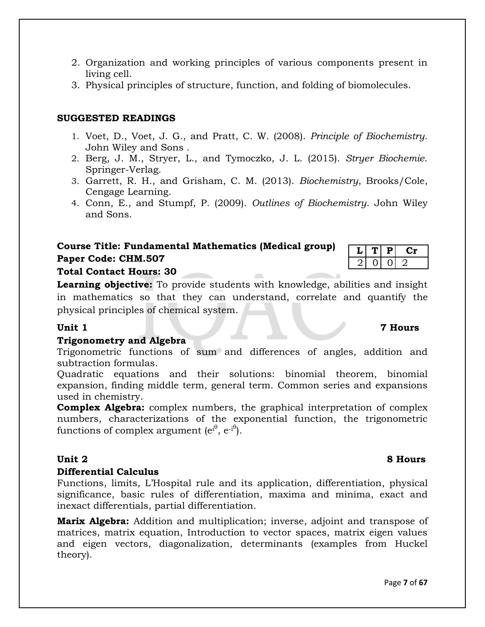- 2. Organization and working principles of various components present in living cell.
- 3. Physical principles of structure, function, and folding of biomolecules.

## **SUGGESTED READINGS**

- 1. Voet, D., Voet, J. G., and Pratt, C. W. (2008). *Principle of Biochemistry*. John Wiley and Sons .
- 2. Berg, J. M., Stryer, L., and Tymoczko, J. L. (2015). *Stryer Biochemie*. Springer-Verlag.
- 3. Garrett, R. H., and Grisham, C. M. (2013). *Biochemistry*, Brooks/Cole, Cengage Learning.
- 4. Conn, E., and Stumpf, P. (2009). *Outlines of Biochemistry*. John Wiley and Sons.

# **Course Title: Fundamental Mathematics (Medical group) Paper Code: CHM.507**

## **Total Contact Hours: 30**

**Learning objective:** To provide students with knowledge, abilities and insight in mathematics so that they can understand, correlate and quantify the physical principles of chemical system.

## **Trigonometry and Algebra**

Trigonometric functions of sum and differences of angles, addition and subtraction formulas.

Quadratic equations and their solutions: binomial theorem, binomial expansion, finding middle term, general term. Common series and expansions used in chemistry.

**Complex Algebra:** complex numbers, the graphical interpretation of complex numbers, [characterizations of the exponential function,](http://en.wikipedia.org/wiki/Characterizations_of_the_exponential_function) the trigonometric functions of complex argument ( $e^{i\theta}$ ,  $e^{-i\theta}$ ).

## **Differential Calculus**

Functions, limits, L'Hospital rule and its application, differentiation, physical significance, basic rules of differentiation, maxima and minima, exact and inexact differentials, partial differentiation.

**Marix Algebra:** Addition and multiplication; inverse, adjoint and transpose of matrices, matrix equation, Introduction to vector spaces, matrix eigen values and eigen vectors, diagonalization, determinants (examples from Huckel theory).

# **Unit 1 7 Hours**

 $L[T|P|$  Cr  $0 \mid 0 \mid 2$ 

## **Unit 2 8 Hours**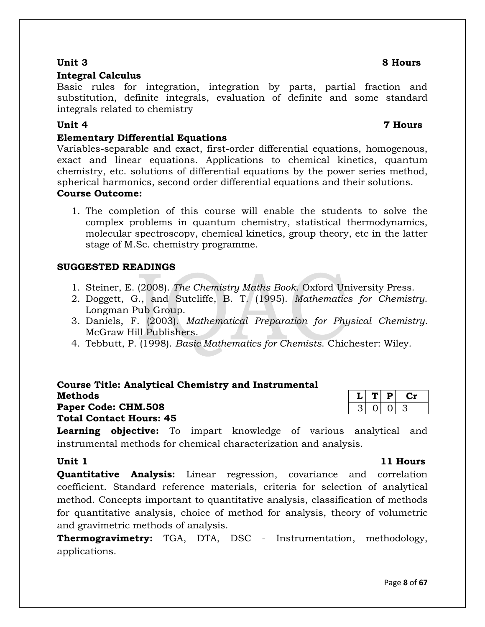# **Integral Calculus**

Basic rules for integration, integration by parts, partial fraction and substitution, definite integrals, evaluation of definite and some standard integrals related to chemistry

## **Unit 4 7 Hours**

## **Elementary Differential Equations**

Variables-separable and exact, first-order differential equations, homogenous, exact and linear equations. Applications to chemical kinetics, quantum chemistry, etc. solutions of differential equations by the power series method, spherical harmonics, second order differential equations and their solutions.

## **Course Outcome:**

1. The completion of this course will enable the students to solve the complex problems in quantum chemistry, statistical thermodynamics, molecular spectroscopy, chemical kinetics, group theory, etc in the latter stage of M.Sc. chemistry programme.

## **SUGGESTED READINGS**

- 1. Steiner, E. (2008). *The Chemistry Maths Book*. Oxford University Press.
- 2. Doggett, G., and Sutcliffe, B. T. (1995). *Mathematics for Chemistry*. Longman Pub Group.
- 3. Daniels, F. (2003). *Mathematical Preparation for Physical Chemistry.* McGraw Hill Publishers.
- 4. Tebbutt, P. (1998). *Basic Mathematics for Chemists*. Chichester: Wiley.

| <b>Course Title: Analytical Chemistry and Instrumental</b> |  |
|------------------------------------------------------------|--|
| Methods                                                    |  |
| Paper Code: CHM.508                                        |  |
| <b>Total Contact Hours: 45</b>                             |  |

**Learning objective:** To impart knowledge of various analytical and instrumental methods for chemical characterization and analysis.

## **Unit 1 11 Hours**

**Quantitative Analysis:** Linear regression, covariance and correlation coefficient. Standard reference materials, criteria for selection of analytical method. Concepts important to quantitative analysis, classification of methods for quantitative analysis, choice of method for analysis, theory of volumetric and gravimetric methods of analysis.

**Thermogravimetry:** TGA, DTA, DSC - Instrumentation, methodology, applications.

## **Unit 3 8 Hours**

 $T|P|$  Cr

3 0 0 3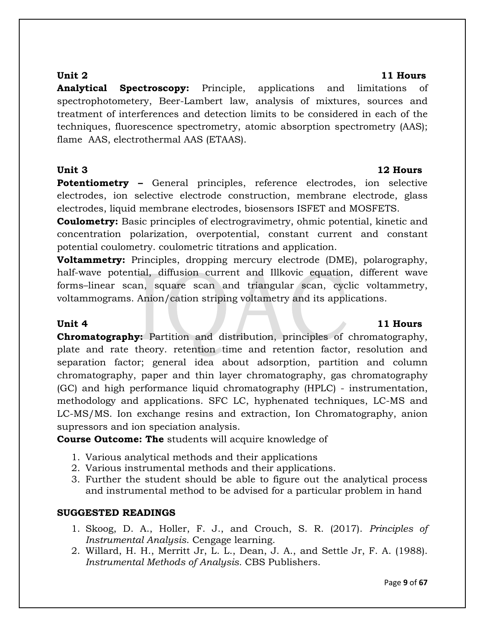**Analytical Spectroscopy:** Principle, applications and limitations of spectrophotometery, Beer-Lambert law, analysis of mixtures, sources and treatment of interferences and detection limits to be considered in each of the techniques, fluorescence spectrometry, atomic absorption spectrometry (AAS); flame AAS, electrothermal AAS (ETAAS).

## **Unit 3 12 Hours**

**Potentiometry –** General principles, reference electrodes, ion selective electrodes, ion selective electrode construction, membrane electrode, glass electrodes, liquid membrane electrodes, biosensors ISFET and MOSFETS.

**Coulometry:** Basic principles of electrogravimetry, ohmic potential, kinetic and concentration polarization, overpotential, constant current and constant potential coulometry. coulometric titrations and application.

**Voltammetry:** Principles, dropping mercury electrode (DME), polarography, half-wave potential, diffusion current and Illkovic equation, different wave forms–linear scan, square scan and triangular scan, cyclic voltammetry, voltammograms. Anion/cation striping voltametry and its applications.

## **Unit 4** 11 **Hours**

**Chromatography:** Partition and distribution, principles of chromatography, plate and rate theory. retention time and retention factor, resolution and separation factor; general idea about adsorption, partition and column chromatography, paper and thin layer chromatography, gas chromatography (GC) and high performance liquid chromatography (HPLC) - instrumentation, methodology and applications. SFC LC, hyphenated techniques, LC-MS and LC-MS/MS. Ion exchange resins and extraction, Ion Chromatography, anion supressors and ion speciation analysis.

**Course Outcome: The** students will acquire knowledge of

- 1. Various analytical methods and their applications
- 2. Various instrumental methods and their applications.
- 3. Further the student should be able to figure out the analytical process and instrumental method to be advised for a particular problem in hand

## **SUGGESTED READINGS**

- 1. Skoog, D. A., Holler, F. J., and Crouch, S. R. (2017). *Principles of Instrumental Analysis*. Cengage learning.
- 2. Willard, H. H., Merritt Jr, L. L., Dean, J. A., and Settle Jr, F. A. (1988). *Instrumental Methods of Analysis.* CBS Publishers.

## **Unit 2 11 Hours**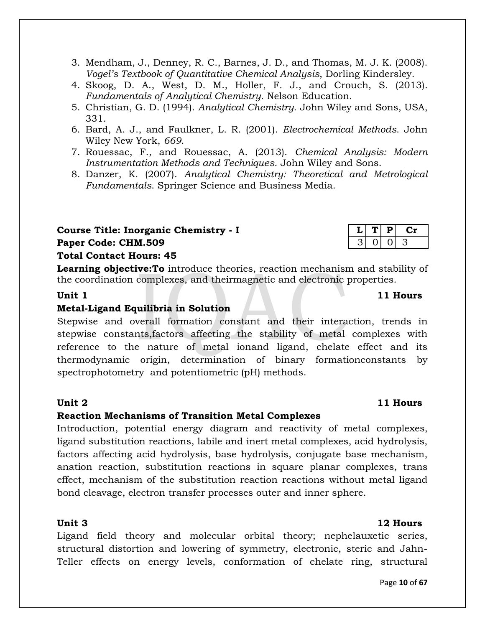- 3. Mendham, J., Denney, R. C., Barnes, J. D., and Thomas, M. J. K. (2008). *Vogel's Textbook of Quantitative Chemical Analysis*, Dorling Kindersley.
- 4. Skoog, D. A., West, D. M., Holler, F. J., and Crouch, S. (2013). *Fundamentals of Analytical Chemistry*. Nelson Education.
- 5. Christian, G. D. (1994). *Analytical Chemistry*. John Wiley and Sons, USA, 331.
- 6. Bard, A. J., and Faulkner, L. R. (2001). *Electrochemical Methods*. John Wiley New York, *669*.
- 7. Rouessac, F., and Rouessac, A. (2013). *Chemical Analysis: Modern Instrumentation Methods and Techniques*. John Wiley and Sons.
- 8. Danzer, K. (2007). *Analytical Chemistry: Theoretical and Metrological Fundamentals*. Springer Science and Business Media.

# **Course Title: Inorganic Chemistry - I Paper Code: CHM.509**

## **Total Contact Hours: 45**

**Learning objective:To** introduce theories, reaction mechanism and stability of the coordination complexes, and theirmagnetic and electronic properties.

## **Unit 1** 11 **Hours**

## **Metal-Ligand Equilibria in Solution**

Stepwise and overall formation constant and their interaction, trends in stepwise constants,factors affecting the stability of metal complexes with reference to the nature of metal ionand ligand, chelate effect and its thermodynamic origin, determination of binary formationconstants by spectrophotometry and potentiometric (pH) methods.

## **Unit 2 11 Hours**

## **Reaction Mechanisms of Transition Metal Complexes**

Introduction, potential energy diagram and reactivity of metal complexes, ligand substitution reactions, labile and inert metal complexes, acid hydrolysis, factors affecting acid hydrolysis, base hydrolysis, conjugate base mechanism, anation reaction, substitution reactions in square planar complexes, trans effect, mechanism of the substitution reaction reactions without metal ligand bond cleavage, electron transfer processes outer and inner sphere.

## **Unit 3 12 Hours**

Ligand field theory and molecular orbital theory; nephelauxetic series, structural distortion and lowering of symmetry, electronic, steric and Jahn-Teller effects on energy levels, conformation of chelate ring, structural

# $T|P|$  **Cr**  $0 \mid 0 \mid 3$

## Page **10** of **67**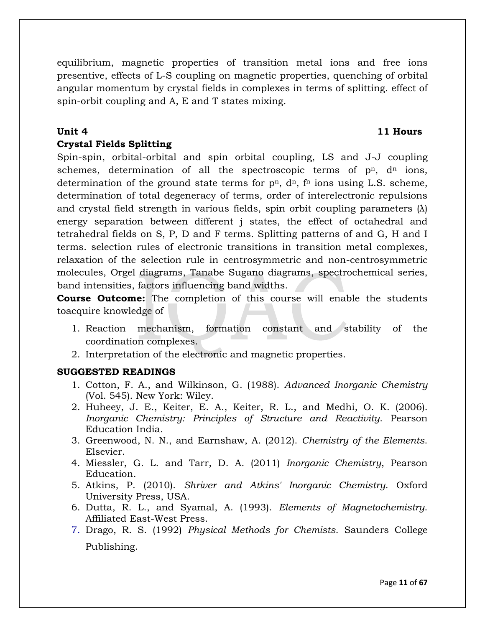equilibrium, magnetic properties of transition metal ions and free ions presentive, effects of L-S coupling on magnetic properties, quenching of orbital angular momentum by crystal fields in complexes in terms of splitting. effect of spin-orbit coupling and A, E and T states mixing.

## **Crystal Fields Splitting**

Spin-spin, orbital-orbital and spin orbital coupling, LS and J-J coupling schemes, determination of all the spectroscopic terms of  $p<sup>n</sup>$ ,  $d<sup>n</sup>$  ions, determination of the ground state terms for  $p^n$ ,  $d^n$ ,  $f^n$  ions using L.S. scheme, determination of total degeneracy of terms, order of interelectronic repulsions and crystal field strength in various fields, spin orbit coupling parameters  $(\lambda)$ energy separation between different j states, the effect of octahedral and tetrahedral fields on S, P, D and F terms. Splitting patterns of and G, H and I terms. selection rules of electronic transitions in transition metal complexes, relaxation of the selection rule in centrosymmetric and non-centrosymmetric molecules, Orgel diagrams, Tanabe Sugano diagrams, spectrochemical series, band intensities, factors influencing band widths.

**Course Outcome:** The completion of this course will enable the students toacquire knowledge of

- 1. Reaction mechanism, formation constant and stability of the coordination complexes.
- 2. Interpretation of the electronic and magnetic properties.

## **SUGGESTED READINGS**

- 1. Cotton, F. A., and Wilkinson, G. (1988). *Advanced Inorganic Chemistry* (Vol. 545). New York: Wiley.
- 2. Huheey, J. E., Keiter, E. A., Keiter, R. L., and Medhi, O. K. (2006). *Inorganic Chemistry: Principles of Structure and Reactivity*. Pearson Education India.
- 3. Greenwood, N. N., and Earnshaw, A. (2012). *Chemistry of the Elements*. Elsevier.
- 4. Miessler, G. L. and Tarr, D. A. (2011) *Inorganic Chemistry*, Pearson Education.
- 5. Atkins, P. (2010). *Shriver and Atkins' Inorganic Chemistry*. Oxford University Press, USA.
- 6. Dutta, R. L., and Syamal, A. (1993). *Elements of Magnetochemistry*. Affiliated East-West Press.
- 7. Drago, R. S. (1992) *Physical Methods for Chemists*. Saunders College Publishing.

# **Unit 4 11 Hours**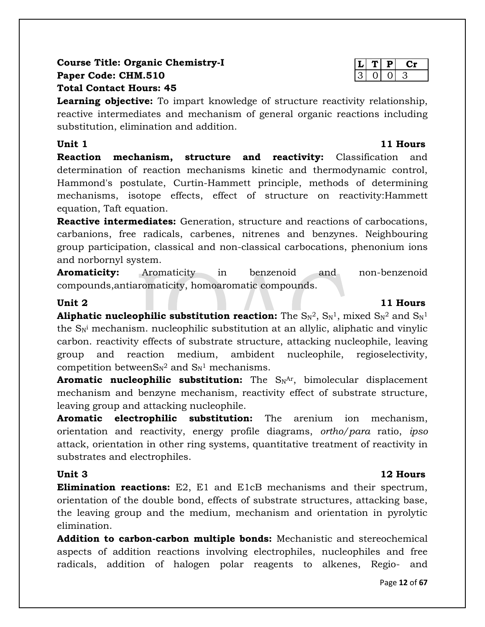## **Course Title: Organic Chemistry-I Paper Code: CHM.510 Total Contact Hours: 45**

**Learning objective:** To impart knowledge of structure reactivity relationship, reactive intermediates and mechanism of general organic reactions including substitution, elimination and addition.

## **Unit 1 11 Hours**

**Reaction mechanism, structure and reactivity:** Classification and determination of reaction mechanisms kinetic and thermodynamic control, Hammond's postulate, Curtin-Hammett principle, methods of determining mechanisms, isotope effects, effect of structure on reactivity:Hammett equation, Taft equation.

**Reactive intermediates:** Generation, structure and reactions of carbocations, carbanions, free radicals, carbenes, nitrenes and benzynes. Neighbouring group participation, classical and non-classical carbocations, phenonium ions and norbornyl system.

**Aromaticity:** Aromaticity in benzenoid and non-benzenoid compounds,antiaromaticity, homoaromatic compounds.

## **Unit 2 11 Hours**

**Aliphatic nucleophilic substitution reaction:** The  $\text{Sn}^2$ ,  $\text{Sn}^1$ , mixed  $\text{Sn}^2$  and  $\text{Sn}^1$ the  $S_N$ <sup>i</sup> mechanism. nucleophilic substitution at an allylic, aliphatic and vinylic carbon. reactivity effects of substrate structure, attacking nucleophile, leaving group and reaction medium, ambident nucleophile, regioselectivity, competition between $S_N^2$  and  $S_N^1$  mechanisms.

**Aromatic nucleophilic substitution:** The S<sub>N</sub>Ar, bimolecular displacement mechanism and benzyne mechanism, reactivity effect of substrate structure, leaving group and attacking nucleophile.

**Aromatic electrophilic substitution:** The arenium ion mechanism, orientation and reactivity, energy profile diagrams, *ortho/para* ratio, *ipso* attack, orientation in other ring systems, quantitative treatment of reactivity in substrates and electrophiles.

**Elimination reactions:** E2, E1 and E1cB mechanisms and their spectrum, orientation of the double bond, effects of substrate structures, attacking base, the leaving group and the medium, mechanism and orientation in pyrolytic elimination.

**Addition to carbon-carbon multiple bonds:** Mechanistic and stereochemical aspects of addition reactions involving electrophiles, nucleophiles and free radicals, addition of halogen polar reagents to alkenes, Regio- and

## **L T P Cr** 3 0 0 3

# **Unit 3 12 Hours**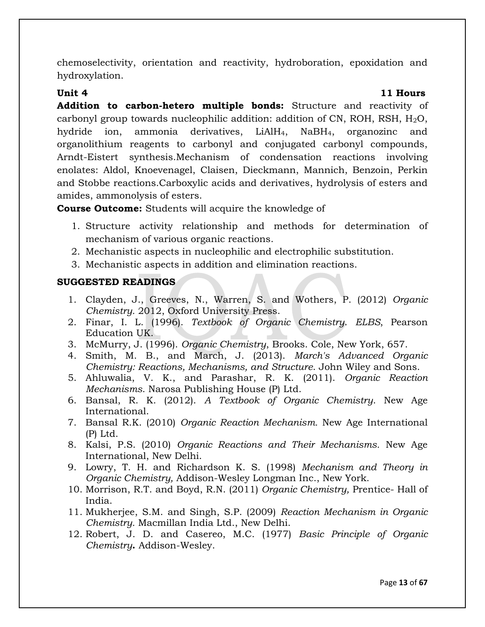chemoselectivity, orientation and reactivity, hydroboration, epoxidation and hydroxylation.

## **Unit 4** 11 Hours

**Addition to carbon-hetero multiple bonds:** Structure and reactivity of carbonyl group towards nucleophilic addition: addition of CN, ROH, RSH,  $H<sub>2</sub>O$ , hydride ion, ammonia derivatives, LiAlH<sub>4</sub>, NaBH<sub>4</sub>, organozinc and organolithium reagents to carbonyl and conjugated carbonyl compounds, Arndt-Eistert synthesis.Mechanism of condensation reactions involving enolates: Aldol, Knoevenagel, Claisen, Dieckmann, Mannich, Benzoin, Perkin and Stobbe reactions.Carboxylic acids and derivatives, hydrolysis of esters and amides, ammonolysis of esters.

**Course Outcome:** Students will acquire the knowledge of

- 1. Structure activity relationship and methods for determination of mechanism of various organic reactions.
- 2. Mechanistic aspects in nucleophilic and electrophilic substitution.
- 3. Mechanistic aspects in addition and elimination reactions.

## **SUGGESTED READINGS**

- 1. Clayden, J., Greeves, N., Warren, S. and Wothers, P. (2012) *Organic Chemistry.* 2012, Oxford University Press.
- 2. Finar, I. L. (1996). *Textbook of Organic Chemistry*. *ELBS*, Pearson Education UK.
- 3. McMurry, J. (1996). *Organic Chemistry*, Brooks. Cole, New York, 657.
- 4. Smith, M. B., and March, J. (2013). *March's Advanced Organic Chemistry: Reactions, Mechanisms, and Structure*. John Wiley and Sons.
- 5. Ahluwalia, V. K., and Parashar, R. K. (2011). *Organic Reaction Mechanisms*. Narosa Publishing House (P) Ltd.
- 6. Bansal, R. K. (2012). *A Textbook of Organic Chemistry*. New Age International.
- 7. Bansal R.K. (2010) *Organic Reaction Mechanism.* New Age International (P) Ltd.
- 8. Kalsi, P.S. (2010) *Organic Reactions and Their Mechanisms.* New Age International, New Delhi.
- 9. Lowry, T. H. and Richardson K. S. (1998) *Mechanism and Theory in Organic Chemistry,* Addison-Wesley Longman Inc., New York.
- 10. Morrison, R.T. and Boyd, R.N. (2011) *Organic Chemistry,* Prentice- Hall of India.
- 11. Mukherjee, S.M. and Singh, S.P. (2009) *Reaction Mechanism in Organic Chemistry.* Macmillan India Ltd., New Delhi.
- 12. Robert, J. D. and Casereo, M.C. (1977) *Basic Principle of Organic Chemistry***.** Addison-Wesley.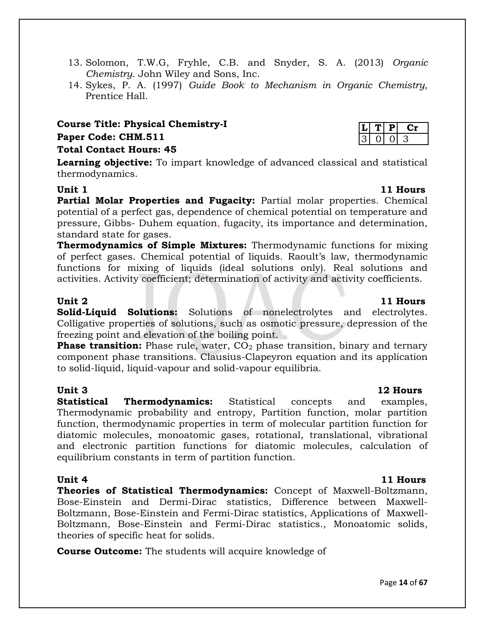- 13. Solomon, T.W.G, Fryhle, C.B. and [Snyder,](http://www.wiley.com/WileyCDA/Section/id-302475.html?query=Scott+A.+Snyder) S. A. (2013) *Organic Chemistry*. John Wiley and Sons, Inc.
- 14. Sykes, P. A. (1997) *Guide Book to Mechanism in Organic Chemistry,* Prentice Hall.

## **Course Title: Physical Chemistry-I**

## **Paper Code: CHM.511**

## **Total Contact Hours: 45**

**Learning objective:** To impart knowledge of advanced classical and statistical thermodynamics.

## **Unit 1 11 Hours**

**Partial Molar Properties and Fugacity:** Partial molar properties. Chemical potential of a perfect gas, dependence of chemical potential on temperature and pressure, Gibbs- Duhem equation, fugacity, its importance and determination, standard state for gases.

**Thermodynamics of Simple Mixtures:** Thermodynamic functions for mixing of perfect gases. Chemical potential of liquids. Raoult's law, thermodynamic functions for mixing of liquids (ideal solutions only). Real solutions and activities. Activity coefficient; determination of activity and activity coefficients.

**Solid-Liquid Solutions:** Solutions of nonelectrolytes and electrolytes. Colligative properties of solutions, such as osmotic pressure, depression of the freezing point and elevation of the boiling point.

**Phase transition:** Phase rule, water, CO<sub>2</sub> phase transition, binary and ternary component phase transitions. Clausius-Clapeyron equation and its application to solid-liquid, liquid-vapour and solid-vapour equilibria.

## **Unit 3 12 Hours**

**Statistical Thermodynamics:** Statistical concepts and examples, Thermodynamic probability and entropy, Partition function, molar partition function, thermodynamic properties in term of molecular partition function for diatomic molecules, monoatomic gases, rotational, translational, vibrational and electronic partition functions for diatomic molecules, calculation of equilibrium constants in term of partition function.

**Theories of Statistical Thermodynamics:** Concept of Maxwell-Boltzmann, Bose-Einstein and Dermi-Dirac statistics, Difference between Maxwell-Boltzmann, Bose-Einstein and Fermi-Dirac statistics, Applications of Maxwell-Boltzmann, Bose-Einstein and Fermi-Dirac statistics., Monoatomic solids, theories of specific heat for solids.

**Course Outcome:** The students will acquire knowledge of

## **Unit 2 11 Hours**

# **Unit 4** 11 **Hours**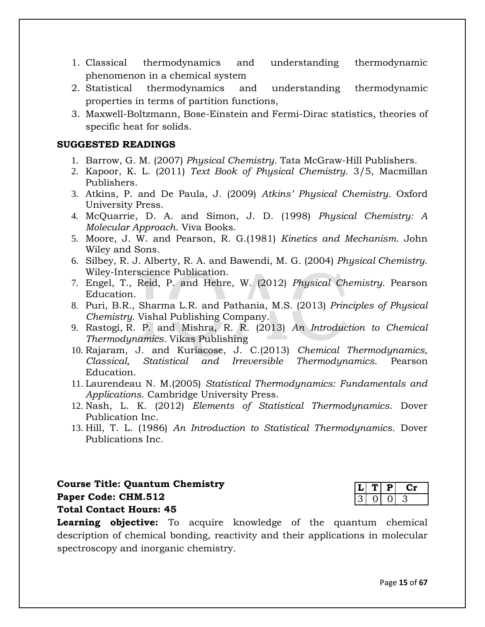- 1. Classical thermodynamics and understanding thermodynamic phenomenon in a chemical system
- 2. Statistical thermodynamics and understanding thermodynamic properties in terms of partition functions,
- 3. Maxwell-Boltzmann, Bose-Einstein and Fermi-Dirac statistics, theories of specific heat for solids.

## **SUGGESTED READINGS**

- 1. Barrow, G. M. (2007) *Physical Chemistry*. Tata McGraw-Hill Publishers.
- 2. Kapoor, K. L. (2011) *Text Book of Physical Chemistry*. 3/5, Macmillan Publishers.
- 3. Atkins, P. and De Paula, J. (2009) *Atkins' Physical Chemistry.* Oxford University Press.
- 4. McQuarrie, D. A. and Simon, J. D. (1998) *Physical Chemistry: A Molecular Approach*. Viva Books.
- 5. Moore, J. W. and Pearson, R. G.(1981) *Kinetics and Mechanism.* John Wiley and Sons.
- 6. Silbey, R. J. Alberty, R. A. and Bawendi, M. G. (2004) *Physical Chemistry*. Wiley-Interscience Publication.
- 7. Engel, T., Reid, P. and Hehre, W. (2012) *Physical Chemistry*. Pearson Education.
- 8. Puri, B.R., Sharma L.R. and Pathania, M.S. (2013) *Principles of Physical Chemistry.* Vishal Publishing Company.
- 9. [Rastogi,](http://www.vikaspublishing.com/author-details/r-p-rastogi/3280) R. P. and [Mishra,](http://www.vikaspublishing.com/author-details/r-r-mishra/3281) R. R. (2013) *An Introduction to Chemical Thermodynamics.* Vikas Publishing
- 10. Rajaram, J. and Kuriacose, J. C.(2013) *Chemical Thermodynamics, Classical, Statistical and Irreversible Thermodynamics*. Pearson Education.
- 11. Laurendeau N. M.(2005) *Statistical Thermodynamics: Fundamentals and Applications*. Cambridge University Press.
- 12. Nash, L. K. (2012) *Elements of Statistical Thermodynamics*. Dover Publication Inc.
- 13. Hill, T. L. (1986) *An Introduction to Statistical Thermodynamics*. Dover Publications Inc.

# **Course Title: Quantum Chemistry**

# **Paper Code: CHM.512**

## **Total Contact Hours: 45**

**Learning objective:** To acquire knowledge of the quantum chemical description of chemical bonding, reactivity and their applications in molecular spectroscopy and inorganic chemistry.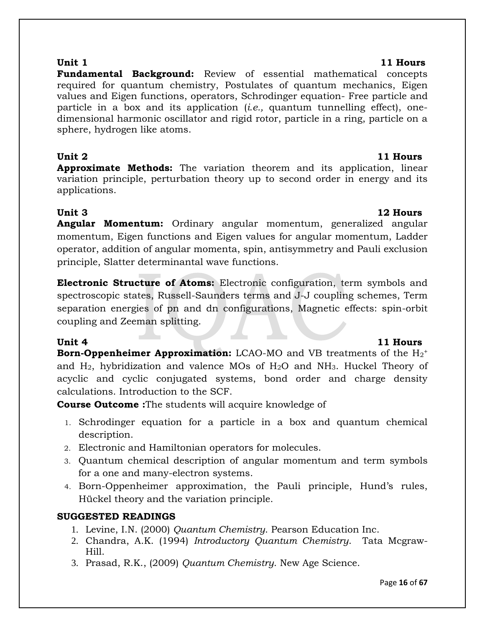**Fundamental Background:** Review of essential mathematical concepts required for quantum chemistry, Postulates of quantum mechanics, Eigen values and Eigen functions, operators, Schrodinger equation- Free particle and particle in a box and its application (*i.e.,* quantum tunnelling effect), onedimensional harmonic oscillator and rigid rotor, particle in a ring, particle on a sphere, hydrogen like atoms.

## **Unit 2 11 Hours**

**Approximate Methods:** The variation theorem and its application, linear variation principle, perturbation theory up to second order in energy and its applications.

**Angular Momentum:** Ordinary angular momentum, generalized angular momentum, Eigen functions and Eigen values for angular momentum, Ladder operator, addition of angular momenta, spin, antisymmetry and Pauli exclusion principle, Slatter determinantal wave functions.

**Electronic Structure of Atoms:** Electronic configuration, term symbols and spectroscopic states, Russell-Saunders terms and J-J coupling schemes, Term separation energies of pn and dn configurations, Magnetic effects: spin-orbit coupling and Zeeman splitting.

Unit 4 11 **Hours Born-Oppenheimer Approximation:** LCAO-MO and VB treatments of the H<sub>2</sub><sup>+</sup> and  $H_2$ , hybridization and valence MOs of  $H_2O$  and NH<sub>3</sub>. Huckel Theory of acyclic and cyclic conjugated systems, bond order and charge density calculations. Introduction to the SCF.

**Course Outcome :**The students will acquire knowledge of

- 1. Schrodinger equation for a particle in a box and quantum chemical description.
- 2. Electronic and Hamiltonian operators for molecules.
- 3. Quantum chemical description of angular momentum and term symbols for a one and many-electron systems.
- 4. Born-Oppenheimer approximation, the Pauli principle, Hund's rules, Hückel theory and the variation principle.

# **SUGGESTED READINGS**

- 1. Levine, I.N. (2000) *Quantum Chemistry*. Pearson Education Inc.
- 2. Chandra, A.K. (1994) *Introductory Quantum Chemistry*. Tata Mcgraw-Hill.
- 3. Prasad, R.K., (2009) *Quantum Chemistry*. New Age Science.

# Page **16** of **67**

## **Unit 1 11 Hours**

# **Unit 3 12 Hours**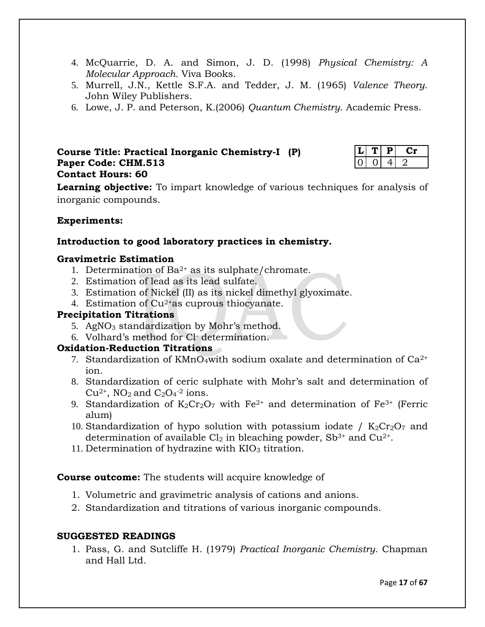- 4. McQuarrie, D. A. and Simon, J. D. (1998) *Physical Chemistry: A Molecular Approach.* Viva Books.
- 5. Murrell, J.N., Kettle S.F.A. and Tedder, J. M. (1965) *Valence Theory*. John Wiley Publishers.
- 6. Lowe, J. P. and Peterson, K.(2006) *Quantum Chemistry*. Academic Press.

| Course Title: Practical Inorganic Chemistry-I (P) |  |
|---------------------------------------------------|--|
| Paper Code: CHM.513                               |  |
| <b>Contact Hours: 60</b>                          |  |

**Learning objective:** To impart knowledge of various techniques for analysis of inorganic compounds.

## **Experiments:**

## **Introduction to good laboratory practices in chemistry.**

## **Gravimetric Estimation**

- 1. Determination of  $Ba^{2+}$  as its sulphate/chromate.
- 2. Estimation of lead as its lead sulfate.
- 3. Estimation of Nickel (II) as its nickel dimethyl glyoximate.
- 4. Estimation of  $Cu^{2+}$ as cuprous thiocyanate.

## **Precipitation Titrations**

- 5. AgNO<sup>3</sup> standardization by Mohr's method.
- 6. Volhard's method for Cl- determination.

## **Oxidation-Reduction Titrations**

- 7. Standardization of KMnO<sub>4</sub>with sodium oxalate and determination of Ca<sup>2+</sup> ion.
- 8. Standardization of ceric sulphate with Mohr's salt and determination of  $Cu<sup>2+</sup>$ , NO<sub>2</sub> and C<sub>2</sub>O<sub>4</sub><sup>-2</sup> ions.
- 9. Standardization of  $K_2Cr_2O_7$  with  $Fe^{2+}$  and determination of  $Fe^{3+}$  (Ferric alum)
- 10. Standardization of hypo solution with potassium iodate /  $K_2Cr_2O_7$  and determination of available  $Cl_2$  in bleaching powder, Sb<sup>3+</sup> and Cu<sup>2+</sup>.
- 11. Determination of hydrazine with  $KIO<sub>3</sub>$  titration.

## **Course outcome:** The students will acquire knowledge of

- 1. Volumetric and gravimetric analysis of cations and anions.
- 2. Standardization and titrations of various inorganic compounds.

## **SUGGESTED READINGS**

1. Pass, G. and Sutcliffe H. (1979) *Practical Inorganic Chemistry*. Chapman and Hall Ltd.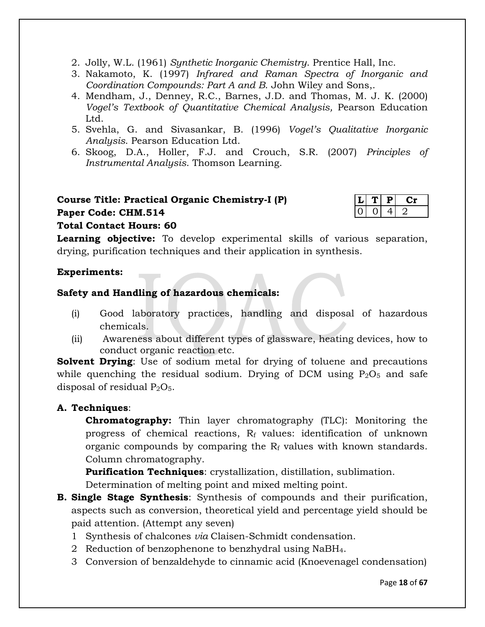- 2. Jolly, W.L. (1961) *Synthetic Inorganic Chemistry*. Prentice Hall, Inc.
- 3. Nakamoto, K. (1997) *Infrared and Raman Spectra of Inorganic and Coordination Compounds: Part A and B*. John Wiley and Sons,.
- 4. Mendham, J., Denney, R.C., Barnes, J.D. and Thomas, M. J. K. (2000) *Vogel's Textbook of Quantitative Chemical Analysis,* Pearson Education Ltd.
- 5. Svehla, G. and Sivasankar, B. (1996) *Vogel's Qualitative Inorganic Analysis*. Pearson Education Ltd.
- 6. Skoog, D.A., Holler, F.J. and Crouch, S.R. (2007) *Principles of Instrumental Analysis*. Thomson Learning.

# **Course Title: Practical Organic Chemistry-I (P) Paper Code: CHM.514**

# **Total Contact Hours: 60**

**Learning objective:** To develop experimental skills of various separation, drying, purification techniques and their application in synthesis.

## **Experiments:**

## **Safety and Handling of hazardous chemicals:**

- (i) Good laboratory practices, handling and disposal of hazardous chemicals.
- (ii) Awareness about different types of glassware, heating devices, how to conduct organic reaction etc.

**Solvent Drying**: Use of sodium metal for drying of toluene and precautions while quenching the residual sodium. Drying of DCM using  $P_2O_5$  and safe disposal of residual  $P_2O_5$ .

## **A. Techniques**:

**Chromatography:** Thin layer chromatography (TLC): Monitoring the progress of chemical reactions, R<sup>f</sup> values: identification of unknown organic compounds by comparing the  $R_f$  values with known standards. Column chromatography.

**Purification Techniques**: crystallization, distillation, sublimation.

Determination of melting point and mixed melting point.

- **B. Single Stage Synthesis**: Synthesis of compounds and their purification, aspects such as conversion, theoretical yield and percentage yield should be paid attention. (Attempt any seven)
	- 1 Synthesis of chalcones *via* Claisen-Schmidt condensation.
	- 2 Reduction of benzophenone to benzhydral using NaBH4.
	- 3 Conversion of benzaldehyde to cinnamic acid (Knoevenagel condensation)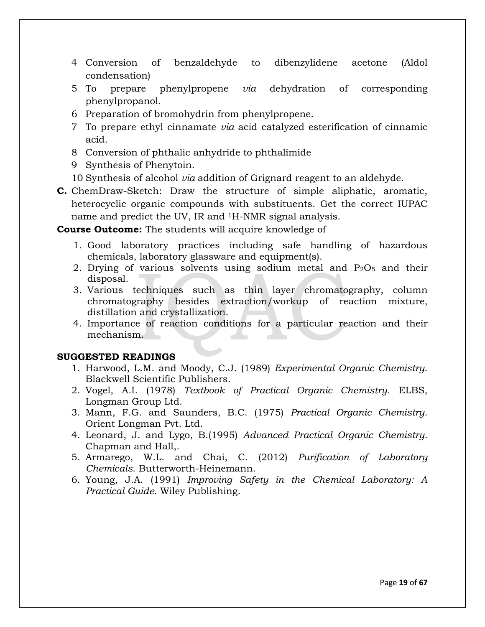- 4 Conversion of benzaldehyde to dibenzylidene acetone (Aldol condensation)
- 5 To prepare phenylpropene *via* dehydration of corresponding phenylpropanol.
- 6 Preparation of bromohydrin from phenylpropene.
- 7 To prepare ethyl cinnamate *via* acid catalyzed esterification of cinnamic acid.
- 8 Conversion of phthalic anhydride to phthalimide
- 9 Synthesis of Phenytoin.
- 10 Synthesis of alcohol *via* addition of Grignard reagent to an aldehyde.
- **C.** ChemDraw-Sketch: Draw the structure of simple aliphatic, aromatic, heterocyclic organic compounds with substituents. Get the correct IUPAC name and predict the UV, IR and 1H-NMR signal analysis.

**Course Outcome:** The students will acquire knowledge of

- 1. Good laboratory practices including safe handling of hazardous chemicals, laboratory glassware and equipment(s).
- 2. Drying of various solvents using sodium metal and  $P_2O_5$  and their disposal.
- 3. Various techniques such as thin layer chromatography, column chromatography besides extraction/workup of reaction mixture, distillation and crystallization.
- 4. Importance of reaction conditions for a particular reaction and their mechanism.

## **SUGGESTED READINGS**

- 1. Harwood, L.M. and Moody, C.J. (1989) *Experimental Organic Chemistry*. Blackwell Scientific Publishers.
- 2. Vogel, A.I. (1978) *Textbook of Practical Organic Chemistry*. ELBS, Longman Group Ltd.
- 3. Mann, F.G. and Saunders, B.C. (1975) *Practical Organic Chemistry*. Orient Longman Pvt. Ltd.
- 4. Leonard, J. and Lygo, B.(1995) *Advanced Practical Organic Chemistry*. Chapman and Hall,.
- 5. Armarego, W.L. and Chai, C. (2012) *Purification of Laboratory Chemicals*. Butterworth-Heinemann.
- 6. Young, J.A. (1991) *Improving Safety in the Chemical Laboratory: A Practical Guide.* Wiley Publishing.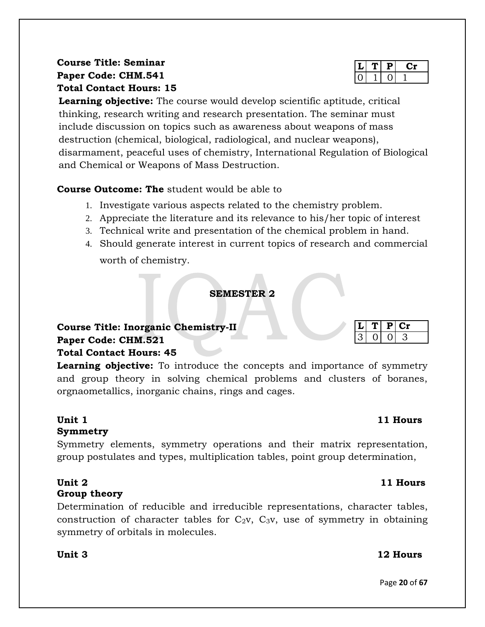# **Course Title: Seminar Paper Code: CHM.541 Total Contact Hours: 15**

| critical |  |
|----------|--|
| ⊤mııst   |  |

**L T P Cr**

0 1 0 1

**Learning objective:** The course would develop scientific aptitude, thinking, research writing and research presentation. The seminar must include discussion on topics such as awareness about weapons of mass destruction (chemical, biological, radiological, and nuclear weapons), disarmament, peaceful uses of chemistry, International Regulation of Biological and Chemical or Weapons of Mass Destruction.

**Course Outcome: The** student would be able to

- 1. Investigate various aspects related to the chemistry problem.
- 2. Appreciate the literature and its relevance to his/her topic of interest
- 3. Technical write and presentation of the chemical problem in hand.
- 4. Should generate interest in current topics of research and commercial worth of chemistry.

## **SEMESTER 2**

## **Course Title: Inorganic Chemistry-II Paper Code: CHM.521 Total Contact Hours: 45**

**Learning objective:** To introduce the concepts and importance of symmetry and group theory in solving chemical problems and clusters of boranes, orgnaometallics, inorganic chains, rings and cages.

# **Unit 1 11 Hours**

## **Symmetry**

Symmetry elements, symmetry operations and their matrix representation, group postulates and types, multiplication tables, point group determination,

## **Group theory**

Determination of reducible and irreducible representations, character tables, construction of character tables for  $C_2v$ ,  $C_3v$ , use of symmetry in obtaining symmetry of orbitals in molecules.

**Unit 3 12 Hours**

# **L T P Cr** 3 0 0 3

# **Unit 2 11 Hours**

Page **20** of **67**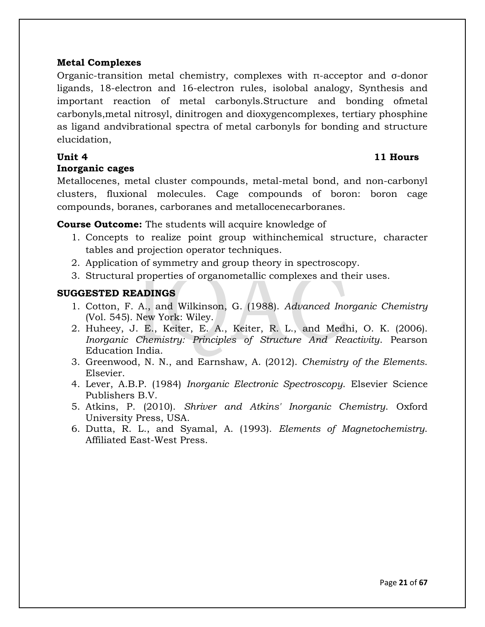## **Metal Complexes**

Organic-transition metal chemistry, complexes with π-acceptor and σ-donor ligands, 18-electron and 16-electron rules, isolobal analogy, Synthesis and important reaction of metal carbonyls.Structure and bonding ofmetal carbonyls,metal nitrosyl, dinitrogen and dioxygencomplexes, tertiary phosphine as ligand andvibrational spectra of metal carbonyls for bonding and structure elucidation,

## **Inorganic cages**

## **Unit 4 11 Hours**

Metallocenes, metal cluster compounds, metal-metal bond, and non-carbonyl clusters, fluxional molecules. Cage compounds of boron: boron cage compounds, boranes, carboranes and metallocenecarboranes.

## **Course Outcome:** The students will acquire knowledge of

- 1. Concepts to realize point group withinchemical structure, character tables and projection operator techniques.
- 2. Application of symmetry and group theory in spectroscopy.
- 3. Structural properties of organometallic complexes and their uses.

## **SUGGESTED READINGS**

- 1. Cotton, F. A., and Wilkinson, G. (1988). *Advanced Inorganic Chemistry* (Vol. 545). New York: Wiley.
- 2. Huheey, J. E., Keiter, E. A., Keiter, R. L., and Medhi, O. K. (2006). *Inorganic Chemistry: Principles of Structure And Reactivity*. Pearson Education India.
- 3. Greenwood, N. N., and Earnshaw, A. (2012). *Chemistry of the Elements*. Elsevier.
- 4. Lever, A.B.P. (1984) *Inorganic Electronic Spectroscopy*. Elsevier Science Publishers B.V.
- 5. Atkins, P. (2010). *Shriver and Atkins' Inorganic Chemistry*. Oxford University Press, USA.
- 6. Dutta, R. L., and Syamal, A. (1993). *Elements of Magnetochemistry*. Affiliated East-West Press.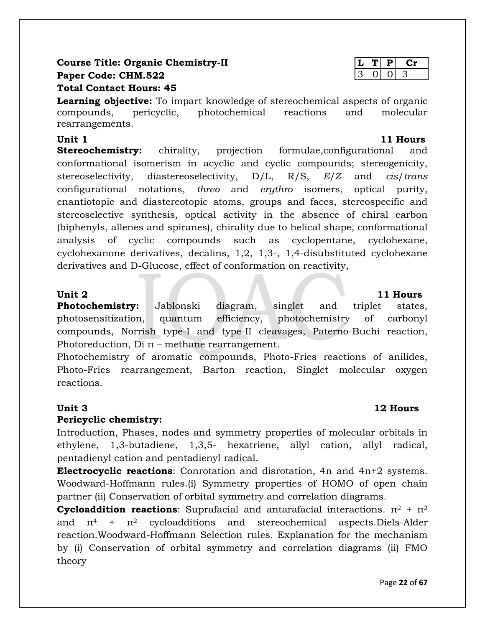## **Course Title: Organic Chemistry-II Paper Code: CHM.522 Total Contact Hours: 45**

**Learning objective:** To impart knowledge of stereochemical aspects of organic compounds, pericyclic, photochemical reactions and molecular rearrangements.

## **Unit 1 11 Hours**

**Stereochemistry:** chirality, projection formulae, configurational and conformational isomerism in acyclic and cyclic compounds; stereogenicity, stereoselectivity, diastereoselectivity, D/L, R/S, *E*/*Z* and *cis*/*trans* configurational notations, *threo* and *erythro* isomers, optical purity, enantiotopic and diastereotopic atoms, groups and faces, stereospecific and stereoselective synthesis, optical activity in the absence of chiral carbon (biphenyls, allenes and spiranes), chirality due to helical shape, conformational analysis of cyclic compounds such as cyclopentane, cyclohexane, cyclohexanone derivatives, decalins, 1,2, 1,3-, 1,4-disubstituted cyclohexane derivatives and D-Glucose, effect of conformation on reactivity,

**Unit 2 11 Hours Photochemistry:** Jablonski diagram, singlet and triplet states, photosensitization, quantum efficiency, photochemistry of carbonyl compounds, Norrish type-I and type-II cleavages, Paterno-Buchi reaction, Photoreduction, Di  $π$  – methane rearrangement.

Photochemistry of aromatic compounds, Photo-Fries reactions of anilides, Photo-Fries rearrangement, Barton reaction, Singlet molecular oxygen reactions.

## **Pericyclic chemistry:**

Introduction, Phases, nodes and symmetry properties of molecular orbitals in ethylene, 1,3-butadiene, 1,3,5- hexatriene, allyl cation, allyl radical, pentadienyl cation and pentadienyl radical.

**Electrocyclic reactions**: Conrotation and disrotation, 4n and 4n+2 systems. Woodward-Hoffmann rules.(i) Symmetry properties of HOMO of open chain partner (ii) Conservation of orbital symmetry and correlation diagrams.

**Cycloaddition reactions**: Suprafacial and antarafacial interactions.  $π<sup>2</sup> + π<sup>2</sup>$ and  $\pi^4$  +  $\pi^2$  cycloadditions and stereochemical aspects. Diels-Alder reaction.Woodward-Hoffmann Selection rules. Explanation for the mechanism by (i) Conservation of orbital symmetry and correlation diagrams (ii) FMO theory

# **Unit 3 12 Hours**

**L T P Cr**

 $0\vert$  0 3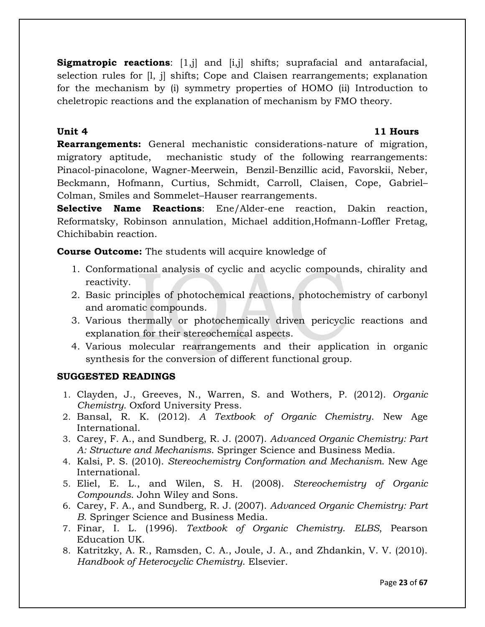**Sigmatropic reactions**: [1,j] and [i,j] shifts; suprafacial and antarafacial, selection rules for [l, j] shifts; Cope and Claisen rearrangements; explanation for the mechanism by (i) symmetry properties of HOMO (ii) Introduction to cheletropic reactions and the explanation of mechanism by FMO theory.

## **Unit 4 11 Hours**

**Rearrangements:** General mechanistic considerations-nature of migration, migratory aptitude, mechanistic study of the following rearrangements: Pinacol-pinacolone, Wagner-Meerwein, Benzil-Benzillic acid, Favorskii, Neber, Beckmann, Hofmann, Curtius, Schmidt, Carroll, Claisen, Cope, Gabriel– Colman, Smiles and Sommelet–Hauser rearrangements.

**Selective Name Reactions**: Ene/Alder-ene reaction, Dakin reaction, Reformatsky, Robinson annulation, Michael addition,Hofmann-Loffler Fretag, Chichibabin reaction.

**Course Outcome:** The students will acquire knowledge of

- 1. Conformational analysis of cyclic and acyclic compounds, chirality and reactivity.
- 2. Basic principles of photochemical reactions, photochemistry of carbonyl and aromatic compounds.
- 3. Various thermally or photochemically driven pericyclic reactions and explanation for their stereochemical aspects.
- 4. Various molecular rearrangements and their application in organic synthesis for the conversion of different functional group.

## **SUGGESTED READINGS**

- 1. Clayden, J., Greeves, N., Warren, S. and Wothers, P. (2012). *Organic Chemistry.* Oxford University Press.
- 2. Bansal, R. K. (2012). *A Textbook of Organic Chemistry*. New Age International.
- 3. Carey, F. A., and Sundberg, R. J. (2007). *Advanced Organic Chemistry: Part A: Structure and Mechanisms*. Springer Science and Business Media.
- 4. Kalsi, P. S. (2010). *Stereochemistry Conformation and Mechanism*. New Age International.
- 5. Eliel, E. L., and Wilen, S. H. (2008). *Stereochemistry of Organic Compounds*. John Wiley and Sons.
- 6. Carey, F. A., and Sundberg, R. J. (2007). *Advanced Organic Chemistry: Part B*. Springer Science and Business Media.
- 7. Finar, I. L. (1996). *Textbook of Organic Chemistry*. *ELBS*, Pearson Education UK.
- 8. Katritzky, A. R., Ramsden, C. A., Joule, J. A., and Zhdankin, V. V. (2010). *Handbook of Heterocyclic Chemistry*. Elsevier.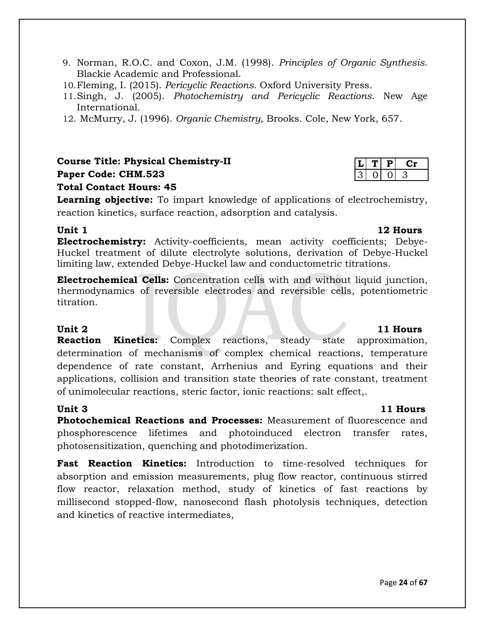- 9. Norman, R.O.C. and Coxon, J.M. (1998). *Principles of Organic Synthesis*. Blackie Academic and Professional.
- 10.Fleming, I. (2015). *Pericyclic Reactions*. Oxford University Press.
- 11.Singh, J. (2005). *Photochemistry and Pericyclic Reactions*. New Age International.
- 12. McMurry, J. (1996). *Organic Chemistry*, Brooks. Cole, New York, 657.

**Course Title: Physical Chemistry-II Paper Code: CHM.523 Total Contact Hours: 45**

**Learning objective:** To impart knowledge of applications of electrochemistry, reaction kinetics, surface reaction, adsorption and catalysis.

**Unit 1 12 Hours Electrochemistry:** Activity-coefficients, mean activity coefficients; Debye-Huckel treatment of dilute electrolyte solutions, derivation of Debye-Huckel limiting law, extended Debye-Huckel law and conductometric titrations.

**Electrochemical Cells:** Concentration cells with and without liquid junction, thermodynamics of reversible electrodes and reversible cells, potentiometric titration.

## **Unit 2** 11 **Hours**

**Reaction Kinetics:** Complex reactions, steady state approximation, determination of mechanisms of complex chemical reactions, temperature dependence of rate constant, Arrhenius and Eyring equations and their applications, collision and transition state theories of rate constant, treatment of unimolecular reactions, steric factor, ionic reactions: salt effect,.

**Unit 3 11 Hours Photochemical Reactions and Processes:** Measurement of fluorescence and phosphorescence lifetimes and photoinduced electron transfer rates, photosensitization, quenching and photodimerization.

**Fast Reaction Kinetics:** Introduction to time-resolved techniques for absorption and emission measurements, plug flow reactor, continuous stirred flow reactor, relaxation method, study of kinetics of fast reactions by millisecond stopped-flow, nanosecond flash photolysis techniques, detection and kinetics of reactive intermediates,

 $Cr$ 

3 0 0 3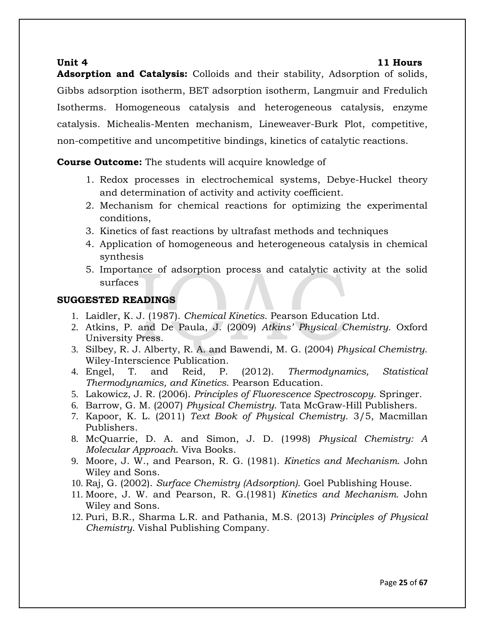## **Unit 4 11 Hours**

**Adsorption and Catalysis:** Colloids and their stability, Adsorption of solids, Gibbs adsorption isotherm, BET adsorption isotherm, Langmuir and Fredulich Isotherms. Homogeneous catalysis and heterogeneous catalysis, enzyme catalysis. Michealis-Menten mechanism, Lineweaver-Burk Plot, competitive, non-competitive and uncompetitive bindings, kinetics of catalytic reactions.

**Course Outcome:** The students will acquire knowledge of

- 1. Redox processes in electrochemical systems, Debye-Huckel theory and determination of activity and activity coefficient.
- 2. Mechanism for chemical reactions for optimizing the experimental conditions,
- 3. Kinetics of fast reactions by ultrafast methods and techniques
- 4. Application of homogeneous and heterogeneous catalysis in chemical synthesis
- 5. Importance of adsorption process and catalytic activity at the solid surfaces

## **SUGGESTED READINGS**

- 1. Laidler, K. J. (1987). *Chemical Kinetics*. Pearson Education Ltd.
- 2. Atkins, P. and De Paula, J. (2009) *Atkins' Physical Chemistry.* Oxford University Press.
- 3. Silbey, R. J. Alberty, R. A. and Bawendi, M. G. (2004) *Physical Chemistry*. Wiley-Interscience Publication.
- 4. Engel, T. and Reid, P. (2012). *Thermodynamics, Statistical Thermodynamics, and Kinetics*. Pearson Education.
- 5. Lakowicz, J. R. (2006). *Principles of Fluorescence Spectroscopy*. Springer.
- 6. Barrow, G. M. (2007) *Physical Chemistry*. Tata McGraw-Hill Publishers.
- 7. Kapoor, K. L. (2011) *Text Book of Physical Chemistry*. 3/5, Macmillan Publishers.
- 8. McQuarrie, D. A. and Simon, J. D. (1998) *Physical Chemistry: A Molecular Approach*. Viva Books.
- 9. Moore, J. W., and Pearson, R. G. (1981). *Kinetics and Mechanism*. John Wiley and Sons.
- 10. Raj, G. (2002). *Surface Chemistry (Adsorption)*. Goel Publishing House.
- 11. Moore, J. W. and Pearson, R. G.(1981) *Kinetics and Mechanism.* John Wiley and Sons.
- 12. Puri, B.R., Sharma L.R. and Pathania, M.S. (2013) *Principles of Physical Chemistry.* Vishal Publishing Company.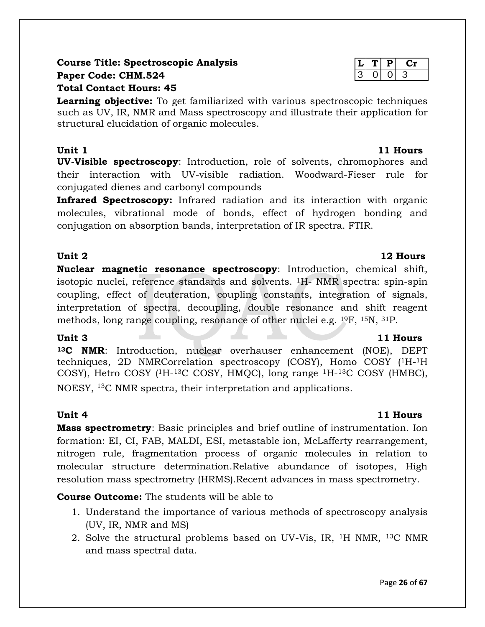## **Course Title: Spectroscopic Analysis Paper Code: CHM.524 Total Contact Hours: 45**

**Learning objective:** To get familiarized with various spectroscopic techniques such as UV, IR, NMR and Mass spectroscopy and illustrate their application for structural elucidation of organic molecules.

## **Unit 1 11 Hours**

**UV-Visible spectroscopy**: Introduction, role of solvents, chromophores and their interaction with UV-visible radiation. Woodward-Fieser rule for conjugated dienes and carbonyl compounds

**Infrared Spectroscopy:** Infrared radiation and its interaction with organic molecules, vibrational mode of bonds, effect of hydrogen bonding and conjugation on absorption bands, interpretation of IR spectra. FTIR.

**Nuclear magnetic resonance spectroscopy**: Introduction, chemical shift, isotopic nuclei, reference standards and solvents. 1H- NMR spectra: spin-spin coupling, effect of deuteration, coupling constants, integration of signals, interpretation of spectra, decoupling, double resonance and shift reagent methods, long range coupling, resonance of other nuclei e.g. 19F, 15N, 31P.

**<sup>13</sup>C NMR**: Introduction, nuclear overhauser enhancement (NOE), DEPT techniques, 2D NMRCorrelation spectroscopy (COSY), Homo COSY (1H-<sup>1</sup>H COSY), Hetro COSY (1H-13C COSY, HMQC), long range 1H-<sup>13</sup>C COSY (HMBC), NOESY, <sup>13</sup>C NMR spectra, their interpretation and applications.

**Mass spectrometry**: Basic principles and brief outline of instrumentation. Ion formation: EI, CI, FAB, MALDI, ESI, metastable ion, McLafferty rearrangement, nitrogen rule, fragmentation process of organic molecules in relation to molecular structure determination.Relative abundance of isotopes, High resolution mass spectrometry (HRMS).Recent advances in mass spectrometry.

## **Course Outcome:** The students will be able to

- 1. Understand the importance of various methods of spectroscopy analysis (UV, IR, NMR and MS)
- 2. Solve the structural problems based on UV-Vis, IR, 1H NMR, 13C NMR and mass spectral data.

## $Cr$ 3

## **Unit 2 12 Hours**

# **Unit 4** 11 **Hours**

## Unit 3 11 **Hours**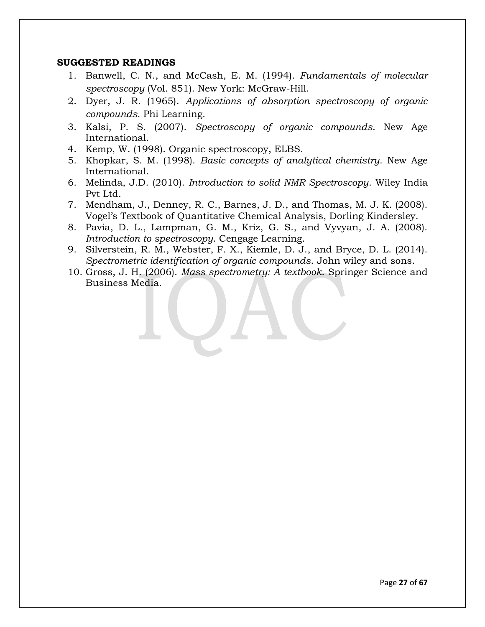## **SUGGESTED READINGS**

- 1. Banwell, C. N., and McCash, E. M. (1994). *Fundamentals of molecular spectroscopy* (Vol. 851). New York: McGraw-Hill.
- 2. Dyer, J. R. (1965). *Applications of absorption spectroscopy of organic compounds*. Phi Learning.
- 3. Kalsi, P. S. (2007). *Spectroscopy of organic compounds*. New Age International.
- 4. Kemp, W. (1998). Organic spectroscopy, ELBS.
- 5. Khopkar, S. M. (1998). *Basic concepts of analytical chemistry*. New Age International.
- 6. [Melinda, J.D.](http://www.flipkart.com/author/melinda-j-duer/) (2010). *Introduction to solid NMR Spectroscopy*. Wiley India Pvt Ltd.
- 7. Mendham, J., Denney, R. C., Barnes, J. D., and Thomas, M. J. K. (2008). Vogel's Textbook of Quantitative Chemical Analysis, Dorling Kindersley.
- 8. Pavia, D. L., Lampman, G. M., Kriz, G. S., and Vyvyan, J. A. (2008). *Introduction to spectroscopy*. Cengage Learning.
- 9. Silverstein, R. M., Webster, F. X., Kiemle, D. J., and Bryce, D. L. (2014). *Spectrometric identification of organic compounds*. John wiley and sons.
- 10. Gross, J. H. (2006). *Mass spectrometry: A textbook*. Springer Science and Business Media.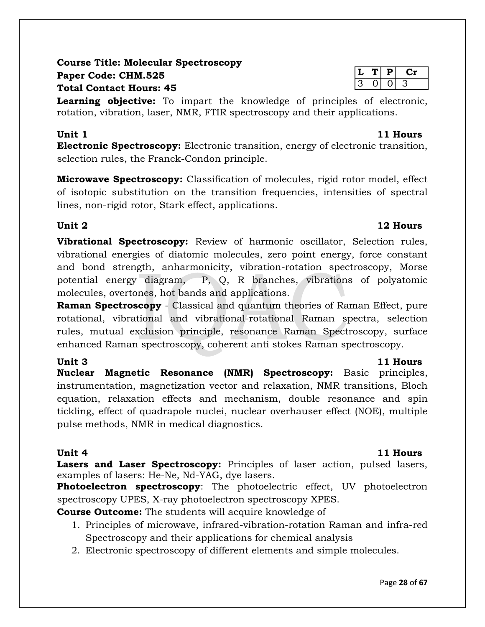# **Course Title: Molecular Spectroscopy Paper Code: CHM.525 Total Contact Hours: 45**

**Learning objective:** To impart the knowledge of principles of electronic, rotation, vibration, laser, NMR, FTIR spectroscopy and their applications.

**Electronic Spectroscopy:** Electronic transition, energy of electronic transition, selection rules, the Franck-Condon principle.

**Microwave Spectroscopy:** Classification of molecules, rigid rotor model, effect of isotopic substitution on the transition frequencies, intensities of spectral lines, non-rigid rotor, Stark effect, applications.

## **Unit 2 12 Hours**

**Vibrational Spectroscopy:** Review of harmonic oscillator, Selection rules, vibrational energies of diatomic molecules, zero point energy, force constant and bond strength, anharmonicity, vibration-rotation spectroscopy, Morse potential energy diagram, P, Q, R branches, vibrations of polyatomic molecules, overtones, hot bands and applications.

**Raman Spectroscopy** - Classical and quantum theories of Raman Effect, pure rotational, vibrational and vibrational-rotational Raman spectra, selection rules, mutual exclusion principle, resonance Raman Spectroscopy, surface enhanced Raman spectroscopy, coherent anti stokes Raman spectroscopy.

**Nuclear Magnetic Resonance (NMR) Spectroscopy:** Basic principles, instrumentation, magnetization vector and relaxation, NMR transitions, Bloch equation, relaxation effects and mechanism, double resonance and spin tickling, effect of quadrapole nuclei, nuclear overhauser effect (NOE), multiple pulse methods, NMR in medical diagnostics.

## **Unit 4** 11 **Hours**

**Lasers and Laser Spectroscopy:** Principles of laser action, pulsed lasers, examples of lasers: He-Ne, Nd-YAG, dye lasers.

**Photoelectron spectroscopy**: The photoelectric effect, UV photoelectron spectroscopy UPES, X-ray photoelectron spectroscopy XPES.

**Course Outcome:** The students will acquire knowledge of

- 1. Principles of microwave, infrared-vibration-rotation Raman and infra-red Spectroscopy and their applications for chemical analysis
- 2. Electronic spectroscopy of different elements and simple molecules.

## **Unit 3 11 Hours**

## **Unit 1 11 Hours**

# **L T P Cr** 3 0 0 3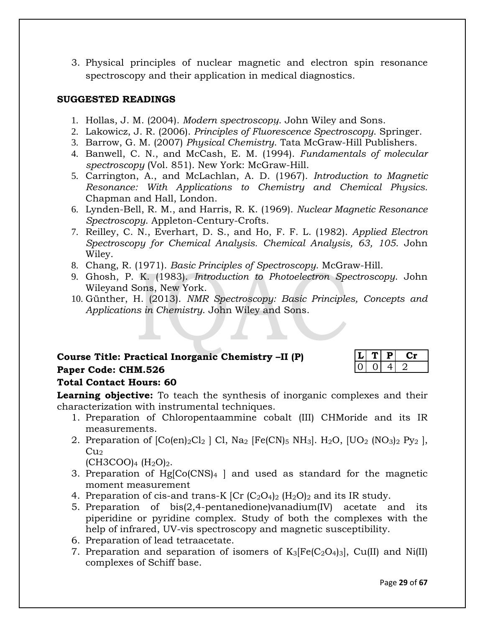3. Physical principles of nuclear magnetic and electron spin resonance spectroscopy and their application in medical diagnostics.

## **SUGGESTED READINGS**

- 1. Hollas, J. M. (2004). *Modern spectroscopy*. John Wiley and Sons.
- 2. Lakowicz, J. R. (2006). *Principles of Fluorescence Spectroscopy*. Springer.
- 3. Barrow, G. M. (2007) *Physical Chemistry*. Tata McGraw-Hill Publishers.
- 4. Banwell, C. N., and McCash, E. M. (1994). *Fundamentals of molecular spectroscopy* (Vol. 851). New York: McGraw-Hill.
- 5. Carrington, A., and McLachlan, A. D. (1967). *Introduction to Magnetic Resonance: With Applications to Chemistry and Chemical Physics.* Chapman and Hall, London.
- 6. Lynden-Bell, R. M., and Harris, R. K. (1969). *Nuclear Magnetic Resonance Spectroscopy*. Appleton-Century-Crofts.
- 7. Reilley, C. N., Everhart, D. S., and Ho, F. F. L. (1982). *Applied Electron Spectroscopy for Chemical Analysis. Chemical Analysis, 63, 105*. John Wiley.
- 8. Chang, R. (1971). *Basic Principles of Spectroscopy*. McGraw-Hill.
- 9. Ghosh, P. K. (1983). *Introduction to Photoelectron Spectroscopy*. John Wileyand Sons, New York.
- 10. Günther, H. (2013). *NMR Spectroscopy: Basic Principles, Concepts and Applications in Chemistry*. John Wiley and Sons.

# **Course Title: Practical Inorganic Chemistry –II (P) Paper Code: CHM.526**

## **Total Contact Hours: 60**

**Learning objective:** To teach the synthesis of inorganic complexes and their characterization with instrumental techniques.

- 1. Preparation of Chloropentaammine cobalt (III) CHMoride and its IR measurements.
- 2. Preparation of  $[Co(en)_2Cl_2 \mid Cl, Na_2$   $[Fe(CN)_5 \text{ NH}_3]$ .  $H_2O, [UO_2 \text{ (NO}_3)_2 \text{ Py}_2]$ , Cu<sub>2</sub>

 $(CH3COO)<sub>4</sub> (H<sub>2</sub>O)<sub>2</sub>$ .

- 3. Preparation of  $Hg[Co(CNS)_4$  and used as standard for the magnetic moment measurement
- 4. Preparation of cis-and trans-K  $[Cr (C_2O_4)_2 (H_2O)_2]$  and its IR study.
- 5. Preparation of bis(2,4-pentanedione)vanadium(IV) acetate and its piperidine or pyridine complex. Study of both the complexes with the help of infrared, UV-vis spectroscopy and magnetic susceptibility.
- 6. Preparation of lead tetraacetate.
- 7. Preparation and separation of isomers of  $K_3[Fe(C_2O_4)_3]$ , Cu(II) and Ni(II) complexes of Schiff base.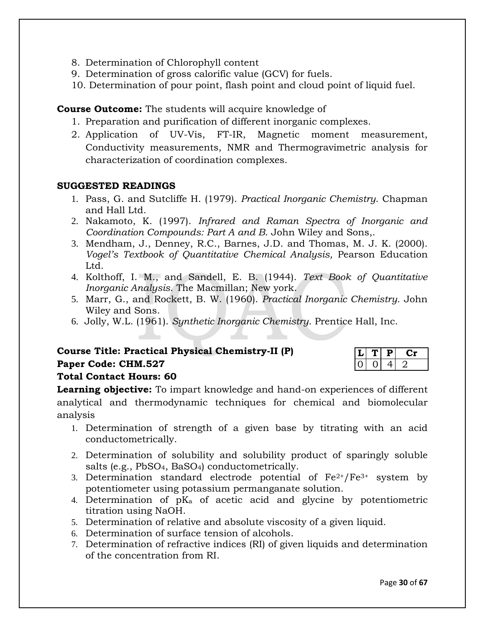- 8. Determination of Chlorophyll content
- 9. Determination of gross calorific value (GCV) for fuels.
- 10. Determination of pour point, flash point and cloud point of liquid fuel.

## **Course Outcome:** The students will acquire knowledge of

- 1. Preparation and purification of different inorganic complexes.
- 2. Application of UV-Vis, FT-IR, Magnetic moment measurement, Conductivity measurements, NMR and Thermogravimetric analysis for characterization of coordination complexes.

## **SUGGESTED READINGS**

- 1. Pass, G. and Sutcliffe H. (1979). *Practical Inorganic Chemistry*. Chapman and Hall Ltd.
- 2. Nakamoto, K. (1997). *Infrared and Raman Spectra of Inorganic and Coordination Compounds: Part A and B*. John Wiley and Sons,.
- 3. Mendham, J., Denney, R.C., Barnes, J.D. and Thomas, M. J. K. (2000). *Vogel's Textbook of Quantitative Chemical Analysis,* Pearson Education Ltd.
- 4. Kolthoff, I. M., and Sandell, E. B. (1944). *Text Book of Quantitative Inorganic Analysis*. The Macmillan; New york.
- 5. Marr, G., and Rockett, B. W. (1960). *Practical Inorganic Chemistry*. John Wiley and Sons.
- 6. Jolly, W.L. (1961). *Synthetic Inorganic Chemistry*. Prentice Hall, Inc.

# **Course Title: Practical Physical Chemistry-II (P) Paper Code: CHM.527**

## **Total Contact Hours: 60**

**Learning objective:** To impart knowledge and hand-on experiences of different analytical and thermodynamic techniques for chemical and biomolecular analysis

- 1. Determination of strength of a given base by titrating with an acid conductometrically.
- 2. Determination of solubility and solubility product of sparingly soluble salts (e.g.,  $PbSO_4$ ,  $BaSO_4$ ) conductometrically.
- 3. Determination standard electrode potential of  $Fe^{2+}/Fe^{3+}$  system by potentiometer using potassium permanganate solution.
- 4. Determination of  $pK_a$  of acetic acid and glycine by potentiometric titration using NaOH.
- 5. Determination of relative and absolute viscosity of a given liquid.
- 6. Determination of surface tension of alcohols.
- 7. Determination of refractive indices (RI) of given liquids and determination of the concentration from RI.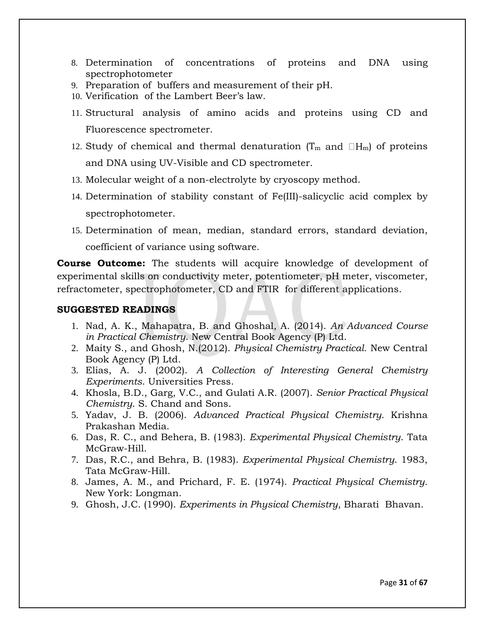- 8. Determination of concentrations of proteins and DNA using spectrophotometer
- 9. Preparation of buffers and measurement of their pH.
- 10. Verification of the Lambert Beer's law.
- 11. Structural analysis of amino acids and proteins using CD and Fluorescence spectrometer.
- 12. Study of chemical and thermal denaturation ( $T_m$  and  $\Box H_m$ ) of proteins and DNA using UV-Visible and CD spectrometer.
- 13. Molecular weight of a non-electrolyte by cryoscopy method.
- 14. Determination of stability constant of Fe(III)-salicyclic acid complex by spectrophotometer.
- 15. Determination of mean, median, standard errors, standard deviation, coefficient of variance using software.

**Course Outcome:** The students will acquire knowledge of development of experimental skills on conductivity meter, potentiometer, pH meter, viscometer, refractometer, spectrophotometer, CD and FTIR for different applications.

## **SUGGESTED READINGS**

- 1. Nad, A. K., Mahapatra, B. and Ghoshal, A. (2014). *An Advanced Course in Practical Chemistry*. New Central Book Agency (P) Ltd.
- 2. Maity S., and Ghosh, N.(2012). *Physical Chemistry Practical*. New Central Book Agency (P) Ltd.
- 3. Elias, A. J. (2002). *A Collection of Interesting General Chemistry Experiments*. Universities Press.
- 4. Khosla, B.D., Garg, V.C., and Gulati A.R. (2007). *Senior Practical Physical Chemistry*. S. Chand and Sons.
- 5. Yadav, J. B. (2006). *Advanced Practical Physical Chemistry*. Krishna Prakashan Media.
- 6. Das, R. C., and Behera, B. (1983). *Experimental Physical Chemistry*. Tata McGraw-Hill.
- 7. Das, R.C., and Behra, B. (1983). *Experimental Physical Chemistry*. 1983, Tata McGraw-Hill.
- 8. James, A. M., and Prichard, F. E. (1974). *Practical Physical Chemistry*. New York: Longman.
- 9. Ghosh, J.C. (1990). *Experiments in Physical Chemistry*, Bharati Bhavan.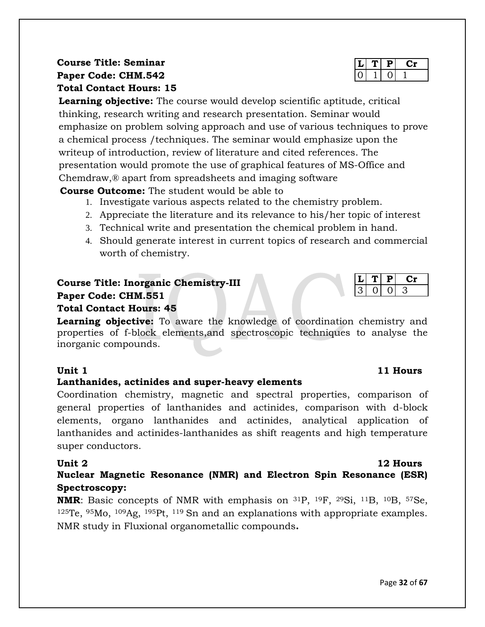# **Course Title: Seminar Paper Code: CHM.542 Total Contact Hours: 15**

**Learning objective:** The course would develop scientific aptitude, critical thinking, research writing and research presentation. Seminar would emphasize on problem solving approach and use of various techniques to prove a chemical process /techniques. The seminar would emphasize upon the writeup of introduction, review of literature and cited references. The presentation would promote the use of graphical features of MS-Office and Chemdraw,® apart from spreadsheets and imaging software

**Course Outcome:** The student would be able to

- 1. Investigate various aspects related to the chemistry problem.
- 2. Appreciate the literature and its relevance to his/her topic of interest
- 3. Technical write and presentation the chemical problem in hand.
- 4. Should generate interest in current topics of research and commercial worth of chemistry.

# **Course Title: Inorganic Chemistry-III Paper Code: CHM.551**

# **Total Contact Hours: 45**

**Learning objective:** To aware the knowledge of coordination chemistry and properties of f-block elements,and spectroscopic techniques to analyse the inorganic compounds.

# **Unit 1 11 Hours**

# **Lanthanides, actinides and super-heavy elements**

Coordination chemistry, magnetic and spectral properties, comparison of general properties of lanthanides and actinides, comparison with d-block elements, organo lanthanides and actinides, analytical application of lanthanides and actinides-lanthanides as shift reagents and high temperature super conductors.

# **Nuclear Magnetic Resonance (NMR) and Electron Spin Resonance (ESR) Spectroscopy:**

**NMR**: Basic concepts of NMR with emphasis on 31P, 19F, 29Si, 11B, 10B, 57Se, <sup>125</sup>Te, 95Mo, 109Ag, 195Pt, 119 Sn and an explanations with appropriate examples. NMR study in Fluxional organometallic compounds**.**

| $\mathbf{L}$ | r | 1. T |
|--------------|---|------|
| З            |   |      |

| Unit 2 |  |  |  |        | 12 Hours |
|--------|--|--|--|--------|----------|
|        |  |  |  | $\sim$ |          |

| r. |  |  |
|----|--|--|
|    |  |  |

 $L$   $T$   $P$   $C$   $T$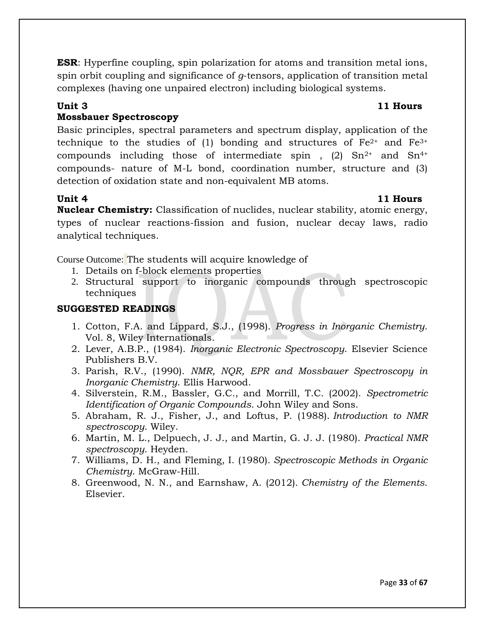**ESR**: Hyperfine coupling, spin polarization for atoms and transition metal ions, spin orbit coupling and significance of *g*-tensors, application of transition metal complexes (having one unpaired electron) including biological systems.

## **Unit 3 11 Hours Mossbauer Spectroscopy**

Basic principles, spectral parameters and spectrum display, application of the technique to the studies of (1) bonding and structures of  $Fe^{2+}$  and  $Fe^{3+}$ compounds including those of intermediate spin,  $(2)$  Sn<sup>2+</sup> and Sn<sup>4+</sup> compounds- nature of M-L bond, coordination number, structure and (3) detection of oxidation state and non-equivalent MB atoms.

## **Unit 4 11 Hours**

**Nuclear Chemistry:** Classification of nuclides, nuclear stability, atomic energy, types of nuclear reactions-fission and fusion, nuclear decay laws, radio analytical techniques.

Course Outcome: The students will acquire knowledge of

- 1. Details on f-block elements properties
- 2. Structural support to inorganic compounds through spectroscopic techniques

# **SUGGESTED READINGS**

- 1. Cotton, F.A. and Lippard, S.J., (1998). *Progress in Inorganic Chemistry*. Vol. 8, Wiley Internationals.
- 2. Lever, A.B.P., (1984). *Inorganic Electronic Spectroscopy*. Elsevier Science Publishers B.V.
- 3. Parish, R.V., (1990). *NMR, NQR, EPR and Mossbauer Spectroscopy in Inorganic Chemistry*. Ellis Harwood.
- 4. Silverstein, R.M., Bassler, G.C., and Morrill, T.C. (2002). *Spectrometric Identification of Organic Compounds*. John Wiley and Sons.
- 5. Abraham, R. J., Fisher, J., and Loftus, P. (1988). *Introduction to NMR spectroscopy*. Wiley.
- 6. Martin, M. L., Delpuech, J. J., and Martin, G. J. J. (1980). *Practical NMR spectroscopy*. Heyden.
- 7. Williams, D. H., and Fleming, I. (1980). *Spectroscopic Methods in Organic Chemistry*. McGraw-Hill.
- 8. Greenwood, N. N., and Earnshaw, A. (2012). *Chemistry of the Elements*. Elsevier.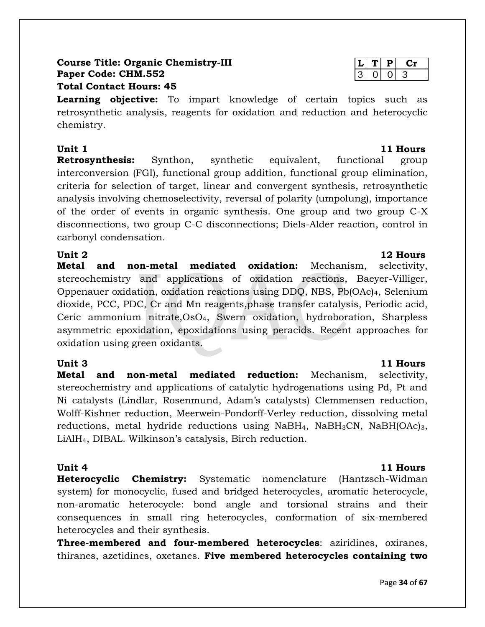## **Course Title: Organic Chemistry-III Paper Code: CHM.552 Total Contact Hours: 45**

**Learning objective:** To impart knowledge of certain topics such as retrosynthetic analysis, reagents for oxidation and reduction and heterocyclic chemistry.

## **Unit 1 11 Hours**

**Retrosynthesis:** Synthon, synthetic equivalent, functional group interconversion (FGI), functional group addition, functional group elimination, criteria for selection of target, linear and convergent synthesis, retrosynthetic analysis involving chemoselectivity, reversal of polarity (umpolung), importance of the order of events in organic synthesis. One group and two group C-X disconnections, two group C-C disconnections; Diels-Alder reaction, control in carbonyl condensation.

**Unit 2 12 Hours Metal and non-metal mediated oxidation:** Mechanism, selectivity, stereochemistry and applications of oxidation reactions, Baeyer-Villiger, Oppenauer oxidation, oxidation reactions using DDQ, NBS, Pb(OAc)4, Selenium dioxide, PCC, PDC, Cr and Mn reagents,phase transfer catalysis, Periodic acid, Ceric ammonium nitrate,OsO4, Swern oxidation, hydroboration, Sharpless asymmetric epoxidation, epoxidations using peracids. Recent approaches for oxidation using green oxidants.

**Metal and non-metal mediated reduction:** Mechanism, selectivity, stereochemistry and applications of catalytic hydrogenations using Pd, Pt and Ni catalysts (Lindlar, Rosenmund, Adam's catalysts) Clemmensen reduction, Wolff-Kishner reduction, Meerwein-Pondorff-Verley reduction, dissolving metal reductions, metal hydride reductions using  $N$ aBH<sub>4</sub>,  $N$ aBH<sub>3</sub>CN,  $N$ aBH $(OAc)$ <sub>3</sub>, LiAlH4, DIBAL. Wilkinson's catalysis, Birch reduction.

**Heterocyclic Chemistry:** Systematic nomenclature (Hantzsch-Widman system) for monocyclic, fused and bridged heterocycles, aromatic heterocycle, non-aromatic heterocycle: bond angle and torsional strains and their consequences in small ring heterocycles, conformation of six-membered heterocycles and their synthesis.

**Three-membered and four-membered heterocycles**: aziridines, oxiranes, thiranes, azetidines, oxetanes. **Five membered heterocycles containing two** 

## **Unit 3 11 Hours**

## **Unit 4** 11 **Hours**

**L T P Cr** 3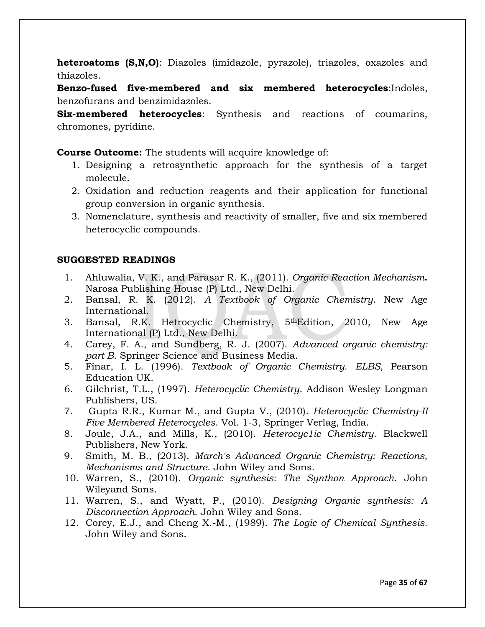**heteroatoms (S,N,O)**: Diazoles (imidazole, pyrazole), triazoles, oxazoles and thiazoles.

**Benzo-fused five-membered and six membered heterocycles**:Indoles, benzofurans and benzimidazoles.

**Six-membered heterocycles**: Synthesis and reactions of coumarins, chromones, pyridine.

**Course Outcome:** The students will acquire knowledge of:

- 1. Designing a retrosynthetic approach for the synthesis of a target molecule.
- 2. Oxidation and reduction reagents and their application for functional group conversion in organic synthesis.
- 3. Nomenclature, synthesis and reactivity of smaller, five and six membered heterocyclic compounds.

## **SUGGESTED READINGS**

- 1. Ahluwalia, V. K., and Parasar R. K., (2011). *Organic Reaction Mechanism***.** Narosa Publishing House (P) Ltd., New Delhi.
- 2. Bansal, R. K. (2012). *A Textbook of Organic Chemistry*. New Age International.
- 3. Bansal, R.K. Hetrocyclic Chemistry, 5thEdition, 2010, New Age International (P) Ltd., New Delhi.
- 4. Carey, F. A., and Sundberg, R. J. (2007). *Advanced organic chemistry: part B*. Springer Science and Business Media.
- 5. Finar, I. L. (1996). *Textbook of Organic Chemistry*. *ELBS*, Pearson Education UK.
- 6. Gilchrist, T.L., (1997). *Heterocyclic Chemistry*. Addison Wesley Longman Publishers, US.
- 7. Gupta R.R., Kumar M., and Gupta V., (2010). *Heterocyclic Chemistry-II Five Membered Heterocycles*. Vol. 1-3, Springer Verlag, India.
- 8. Joule, J.A., and Mills, K., (2010). *Heterocyc1ic Chemistry*. Blackwell Publishers, New York.
- 9. Smith, M. B., (2013). *March's Advanced Organic Chemistry: Reactions, Mechanisms and Structure*. John Wiley and Sons.
- 10. Warren, S., (2010). *Organic synthesis: The Synthon Approach*. John Wileyand Sons.
- 11. Warren, S., and Wyatt, P., (2010). *Designing Organic synthesis: A Disconnection Approach*. John Wiley and Sons.
- 12. Corey, E.J., and Cheng X.-M., (1989). *The Logic of Chemical Synthesis*. John Wiley and Sons.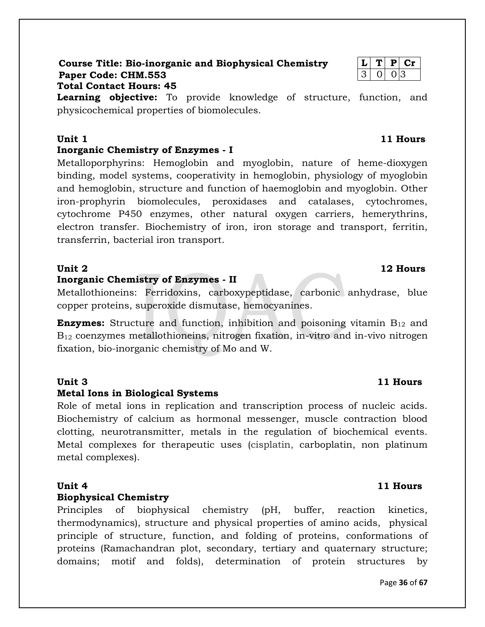# **Course Title: Bio-inorganic and Biophysical Chemistry L T P Cr Paper Code: CHM.553** 3 0 0 3

**Total Contact Hours: 45**

**Learning objective:** To provide knowledge of structure, function, and physicochemical properties of biomolecules.

## **Unit 1 11 Hours**

## **Inorganic Chemistry of Enzymes - I**

Metalloporphyrins: Hemoglobin and myoglobin, nature of heme-dioxygen binding, model systems, cooperativity in hemoglobin, physiology of myoglobin and hemoglobin, structure and function of haemoglobin and myoglobin. Other iron-prophyrin biomolecules, peroxidases and catalases, cytochromes, cytochrome P450 enzymes, other natural oxygen carriers, hemerythrins, electron transfer. Biochemistry of iron, iron storage and transport, ferritin, transferrin, bacterial iron transport.

## **Inorganic Chemistry of Enzymes - II**

Metallothioneins: Ferridoxins, carboxypeptidase, carbonic anhydrase, blue copper proteins, superoxide dismutase, hemocyanines.

**Enzymes:** Structure and function, inhibition and poisoning vitamin B<sub>12</sub> and B<sup>12</sup> coenzymes metallothioneins, nitrogen fixation, in-vitro and in-vivo nitrogen fixation, bio-inorganic chemistry of Mo and W.

## **Unit 3 11 Hours**

## **Metal Ions in Biological Systems**

Role of metal ions in replication and transcription process of nucleic acids. Biochemistry of calcium as hormonal messenger, muscle contraction blood clotting, neurotransmitter, metals in the regulation of biochemical events. Metal complexes for therapeutic uses (cisplatin, carboplatin, non platinum metal complexes).

## **Biophysical Chemistry**

Principles of biophysical chemistry (pH, buffer, reaction kinetics, thermodynamics), structure and physical properties of amino acids, physical principle of structure, function, and folding of proteins, conformations of proteins (Ramachandran plot, secondary, tertiary and quaternary structure; domains; motif and folds), determination of protein structures by

## **Unit 2 12 Hours**

## **Unit 4** 11 **Hours**

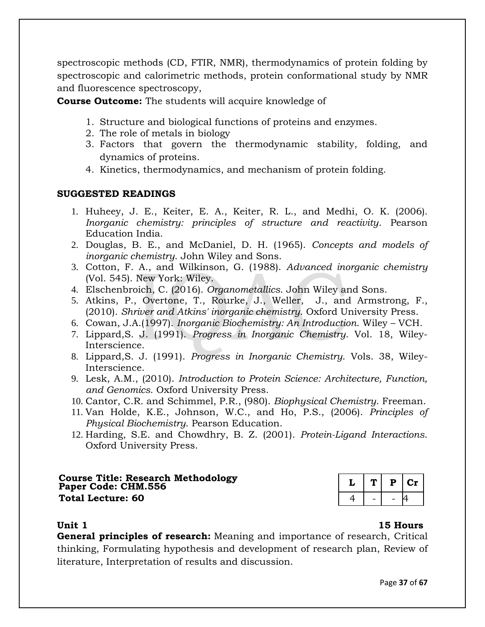spectroscopic methods (CD, FTIR, NMR), thermodynamics of protein folding by spectroscopic and calorimetric methods, protein conformational study by NMR and fluorescence spectroscopy,

**Course Outcome:** The students will acquire knowledge of

- 1. Structure and biological functions of proteins and enzymes.
- 2. The role of metals in biology
- 3. Factors that govern the thermodynamic stability, folding, and dynamics of proteins.
- 4. Kinetics, thermodynamics, and mechanism of protein folding.

## **SUGGESTED READINGS**

- 1. Huheey, J. E., Keiter, E. A., Keiter, R. L., and Medhi, O. K. (2006). *Inorganic chemistry: principles of structure and reactivity*. Pearson Education India.
- 2. Douglas, B. E., and McDaniel, D. H. (1965). *Concepts and models of inorganic chemistry*. John Wiley and Sons.
- 3. Cotton, F. A., and Wilkinson, G. (1988). *Advanced inorganic chemistry* (Vol. 545). New York: Wiley.
- 4. Elschenbroich, C. (2016). *Organometallics*. John Wiley and Sons.
- 5. Atkins, P., Overtone, T., Rourke, J., Weller, J., and Armstrong, F., (2010). *Shriver and Atkins' inorganic chemistry*. Oxford University Press.
- 6. Cowan, J.A.(1997). *Inorganic Biochemistry: An Introduction*. Wiley VCH.
- 7. Lippard,S. J. (1991). *Progress in Inorganic Chemistry*. Vol. 18, Wiley-Interscience.
- 8. Lippard,S. J. (1991). *Progress in Inorganic Chemistry*. Vols. 38, Wiley-Interscience.
- 9. Lesk, A.M., (2010). *Introduction to Protein Science: Architecture, Function, and Genomics*. Oxford University Press.
- 10. Cantor, C.R. and Schimmel, P.R., (980). *Biophysical Chemistry*. Freeman.
- 11. Van Holde, K.E., Johnson, W.C., and Ho, P.S., (2006). *Principles of Physical Biochemistry*. Pearson Education.
- 12. Harding, S.E. and Chowdhry, B. Z. (2001). *Protein-Ligand Interactions*. Oxford University Press.

## **Course Title: Research Methodology Paper Code: CHM.556 Total Lecture: 60**

|  | P | Сĭ |
|--|---|----|
|  |   |    |

## **Unit 1** 15 Hours

**General principles of research:** Meaning and importance of research, Critical thinking, Formulating hypothesis and development of research plan, Review of literature, Interpretation of results and discussion.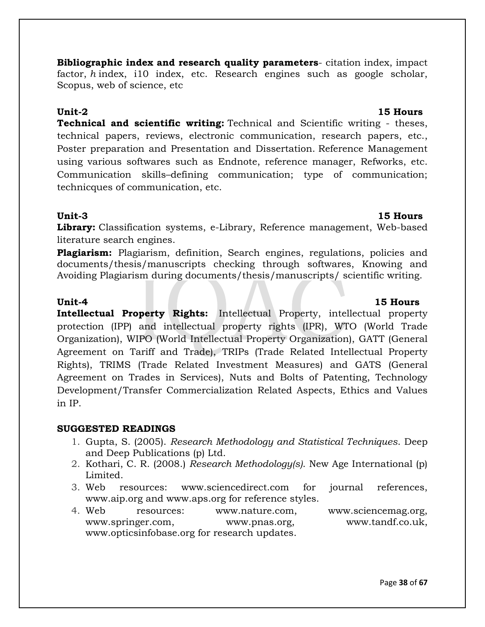**Bibliographic index and research quality parameters**- citation index, impact factor, *h* index, i10 index, etc. Research engines such as google scholar, Scopus, web of science, etc

**Technical and scientific writing:** Technical and Scientific writing - theses, technical papers, reviews, electronic communication, research papers, etc., Poster preparation and Presentation and Dissertation. Reference Management using various softwares such as Endnote, reference manager, Refworks, etc. Communication skills–defining communication; type of communication; technicques of communication, etc.

## **Unit-3 15 Hours**

**Library:** Classification systems, e-Library, Reference management, Web-based literature search engines.

**Plagiarism:** Plagiarism, definition, Search engines, regulations, policies and documents/thesis/manuscripts checking through softwares, Knowing and Avoiding Plagiarism during documents/thesis/manuscripts/ scientific writing.

**Intellectual Property Rights:** Intellectual Property, intellectual property protection (IPP) and intellectual property rights (IPR), WTO (World Trade Organization), WIPO (World Intellectual Property Organization), GATT (General Agreement on Tariff and Trade), TRIPs (Trade Related Intellectual Property Rights), TRIMS (Trade Related Investment Measures) and GATS (General Agreement on Trades in Services), Nuts and Bolts of Patenting, Technology Development/Transfer Commercialization Related Aspects, Ethics and Values in IP.

## **SUGGESTED READINGS**

- 1. Gupta, S. (2005). *Research Methodology and Statistical Techniques*. Deep and Deep Publications (p) Ltd.
- 2. Kothari, C. R. (2008.) *Research Methodology(s)*. New Age International (p) Limited.
- 3. Web resources: www.sciencedirect.com for journal references, www.aip.org and www.aps.org for reference styles.
- 4. Web resources: www.nature.com, www.sciencemag.org, www.springer.com, www.pnas.org, www.tandf.co.uk, www.opticsinfobase.org for research updates.

## **Unit-4** 15 Hours

# **Unit-2** 15 Hours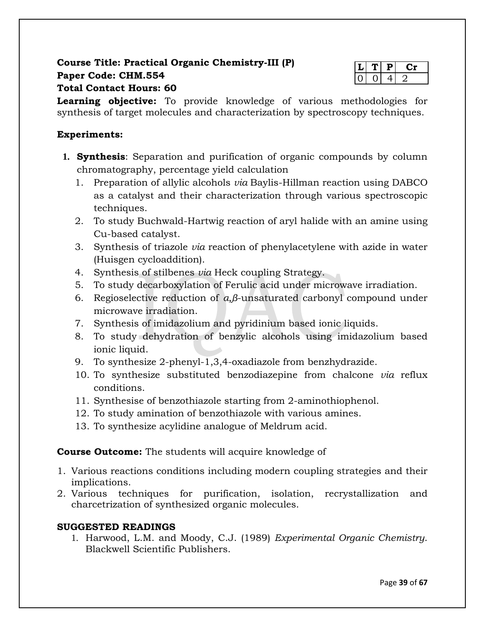# **Course Title: Practical Organic Chemistry-III (P) Paper Code: CHM.554 Total Contact Hours: 60**

**Learning objective:** To provide knowledge of various methodologies for synthesis of target molecules and characterization by spectroscopy techniques.

## **Experiments:**

- **1. Synthesis**: Separation and purification of organic compounds by column chromatography, percentage yield calculation
	- 1. Preparation of allylic alcohols *via* Baylis-Hillman reaction using DABCO as a catalyst and their characterization through various spectroscopic techniques.
	- 2. To study Buchwald-Hartwig reaction of aryl halide with an amine using Cu-based catalyst.
	- 3. Synthesis of triazole *via* reaction of phenylacetylene with azide in water (Huisgen cycloaddition).
	- 4. Synthesis of stilbenes *via* Heck coupling Strategy.
	- 5. To study decarboxylation of Ferulic acid under microwave irradiation.
	- 6. Regioselective reduction of *α,β*-unsaturated carbonyl compound under microwave irradiation.
	- 7. Synthesis of imidazolium and pyridinium based ionic liquids.
	- 8. To study dehydration of benzylic alcohols using imidazolium based ionic liquid.
	- 9. To synthesize 2-phenyl-1,3,4-oxadiazole from benzhydrazide.
	- 10. To synthesize substituted benzodiazepine from chalcone *via* reflux conditions.
	- 11. Synthesise of benzothiazole starting from 2-aminothiophenol.
	- 12. To study amination of benzothiazole with various amines.
	- 13. To synthesize acylidine analogue of Meldrum acid.

# **Course Outcome:** The students will acquire knowledge of

- 1. Various reactions conditions including modern coupling strategies and their implications.
- 2. Various techniques for purification, isolation, recrystallization and charcetrization of synthesized organic molecules.

# **SUGGESTED READINGS**

1. Harwood, L.M. and Moody, C.J. (1989) *Experimental Organic Chemistry*. Blackwell Scientific Publishers.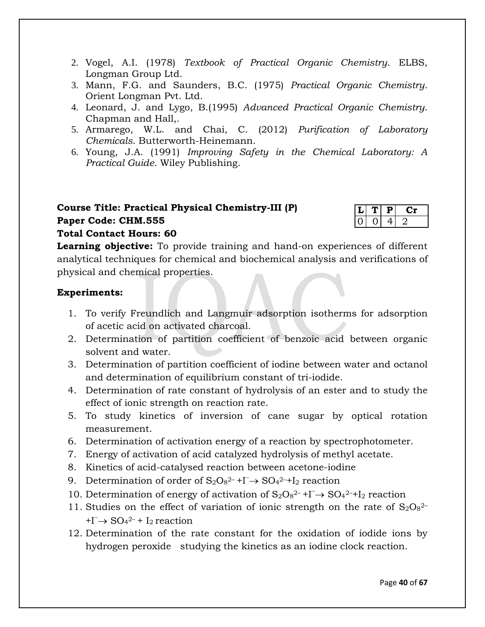- 2. Vogel, A.I. (1978) *Textbook of Practical Organic Chemistry*. ELBS, Longman Group Ltd.
- 3. Mann, F.G. and Saunders, B.C. (1975) *Practical Organic Chemistry*. Orient Longman Pvt. Ltd.
- 4. Leonard, J. and Lygo, B.(1995) *Advanced Practical Organic Chemistry*. Chapman and Hall,.
- 5. Armarego, W.L. and Chai, C. (2012) *Purification of Laboratory Chemicals*. Butterworth-Heinemann.
- 6. Young, J.A. (1991) *Improving Safety in the Chemical Laboratory: A Practical Guide.* Wiley Publishing.

# **Course Title: Practical Physical Chemistry-III (P) Paper Code: CHM.555**

## **Total Contact Hours: 60**

**Learning objective:** To provide training and hand-on experiences of different analytical techniques for chemical and biochemical analysis and verifications of physical and chemical properties.

## **Experiments:**

- 1. To verify Freundlich and Langmuir adsorption isotherms for adsorption of acetic acid on activated charcoal.
- 2. Determination of partition coefficient of benzoic acid between organic solvent and water.
- 3. Determination of partition coefficient of iodine between water and octanol and determination of equilibrium constant of tri-iodide.
- 4. Determination of rate constant of hydrolysis of an ester and to study the effect of ionic strength on reaction rate.
- 5. To study kinetics of inversion of cane sugar by optical rotation measurement.
- 6. Determination of activation energy of a reaction by spectrophotometer.
- 7. Energy of activation of acid catalyzed hydrolysis of methyl acetate.
- 8. Kinetics of acid-catalysed reaction between acetone-iodine
- 9. Determination of order of  $S_2O_8^{2-}+I^-\rightarrow SO_4^{2-}+I_2$  reaction
- 10. Determination of energy of activation of  $S_2O_8^{2-}+I^- \rightarrow SO_4^{2-}+I_2$  reaction
- 11. Studies on the effect of variation of ionic strength on the rate of  $S_2O_8^{2-}$  $+I^ \rightarrow$   $SO_4$ <sup>2-</sup>  $+ I_2$  reaction
- 12. Determination of the rate constant for the oxidation of iodide ions by hydrogen peroxide studying the kinetics as an iodine clock reaction.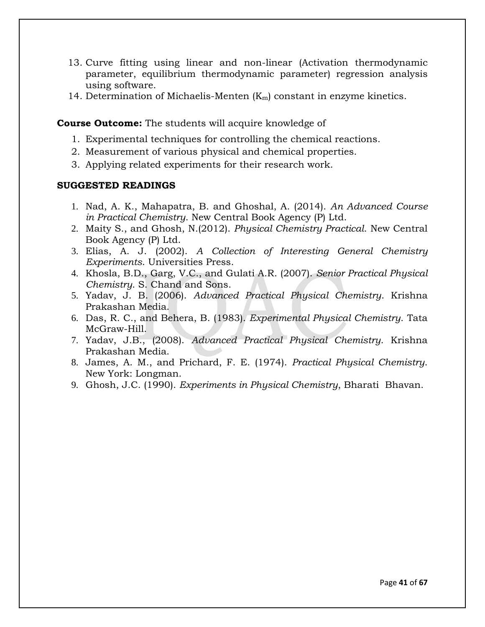- 13. Curve fitting using linear and non-linear (Activation thermodynamic parameter, equilibrium thermodynamic parameter) regression analysis using software.
- 14. Determination of Michaelis-Menten  $(K_m)$  constant in enzyme kinetics.

**Course Outcome:** The students will acquire knowledge of

- 1. Experimental techniques for controlling the chemical reactions.
- 2. Measurement of various physical and chemical properties.
- 3. Applying related experiments for their research work.

## **SUGGESTED READINGS**

- 1. Nad, A. K., Mahapatra, B. and Ghoshal, A. (2014). *An Advanced Course in Practical Chemistry*. New Central Book Agency (P) Ltd.
- 2. Maity S., and Ghosh, N.(2012). *Physical Chemistry Practical*. New Central Book Agency (P) Ltd.
- 3. Elias, A. J. (2002). *A Collection of Interesting General Chemistry Experiments*. Universities Press.
- 4. Khosla, B.D., Garg, V.C., and Gulati A.R. (2007). *Senior Practical Physical Chemistry*. S. Chand and Sons.
- 5. Yadav, J. B. (2006). *Advanced Practical Physical Chemistry*. Krishna Prakashan Media.
- 6. Das, R. C., and Behera, B. (1983). *Experimental Physical Chemistry*. Tata McGraw-Hill.
- 7. Yadav, J.B., (2008). *Advanced Practical Physical Chemistry*. Krishna Prakashan Media.
- 8. James, A. M., and Prichard, F. E. (1974). *Practical Physical Chemistry*. New York: Longman.
- 9. Ghosh, J.C. (1990). *Experiments in Physical Chemistry*, Bharati Bhavan.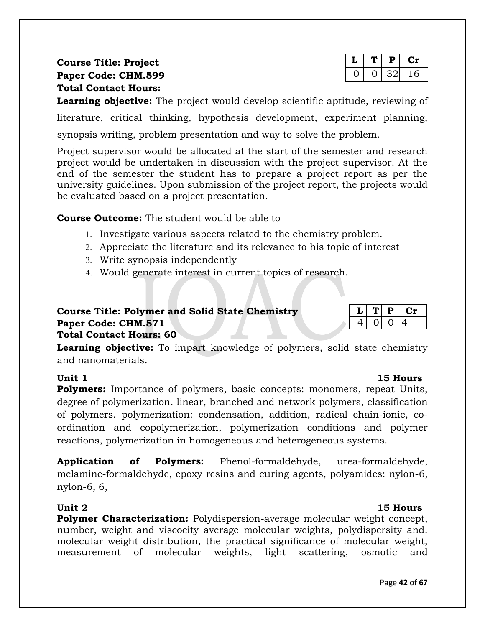**Course Title: Project Paper Code: CHM.599 Total Contact Hours:** 

|  | Р   |    |
|--|-----|----|
|  | ∠י∢ | lб |

**Learning objective:** The project would develop scientific aptitude, reviewing of literature, critical thinking, hypothesis development, experiment planning, synopsis writing, problem presentation and way to solve the problem.

Project supervisor would be allocated at the start of the semester and research project would be undertaken in discussion with the project supervisor. At the end of the semester the student has to prepare a project report as per the university guidelines. Upon submission of the project report, the projects would be evaluated based on a project presentation.

## **Course Outcome:** The student would be able to

- 1. Investigate various aspects related to the chemistry problem.
- 2. Appreciate the literature and its relevance to his topic of interest
- 3. Write synopsis independently
- 4. Would generate interest in current topics of research.

## **Course Title: Polymer and Solid State Chemistry** Paper Code: CHM.571 **Total Contact Hours: 60**

|  | н |  |
|--|---|--|
|  |   |  |

**Learning objective:** To impart knowledge of polymers, solid state chemistry and nanomaterials.

# **Unit 1** 15 Hours

**Polymers:** Importance of polymers, basic concepts: monomers, repeat Units, degree of polymerization. linear, branched and network polymers, classification of polymers. polymerization: condensation, addition, radical chain-ionic, coordination and copolymerization, polymerization conditions and polymer reactions, polymerization in homogeneous and heterogeneous systems.

**Application of Polymers:** Phenol-formaldehyde, urea-formaldehyde, melamine-formaldehyde, epoxy resins and curing agents, polyamides: nylon-6, nylon-6, 6,

**Polymer Characterization:** Polydispersion-average molecular weight concept, number, weight and viscocity average molecular weights, polydispersity and. molecular weight distribution, the practical significance of molecular weight, measurement of molecular weights, light scattering, osmotic and

## **Unit 2 15 Hours**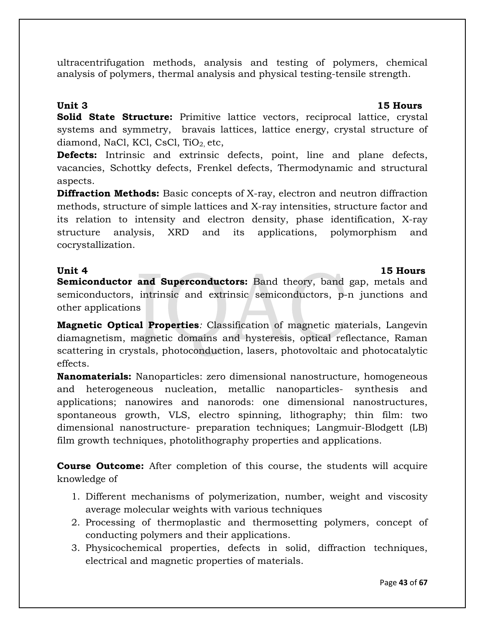ultracentrifugation methods, analysis and testing of polymers, chemical analysis of polymers, thermal analysis and physical testing-tensile strength.

**Unit 3 15 Hours Solid State Structure:** Primitive lattice vectors, reciprocal lattice, crystal systems and symmetry, bravais lattices, lattice energy, crystal structure of diamond, NaCl, KCl, CsCl, TiO<sub>2</sub>, etc,

**Defects:** Intrinsic and extrinsic defects, point, line and plane defects, vacancies, Schottky defects, Frenkel defects, Thermodynamic and structural aspects.

**Diffraction Methods:** Basic concepts of X-ray, electron and neutron diffraction methods, structure of simple lattices and X-ray intensities, structure factor and its relation to intensity and electron density, phase identification, X-ray structure analysis, XRD and its applications, polymorphism and cocrystallization.

## **Unit 4 15 Hours**

**Semiconductor and Superconductors:** Band theory, band gap, metals and semiconductors, intrinsic and extrinsic semiconductors, p-n junctions and other applications

**Magnetic Optical Properties***:* Classification of magnetic materials, Langevin diamagnetism, magnetic domains and hysteresis, optical reflectance, Raman scattering in crystals, photoconduction, lasers, photovoltaic and photocatalytic effects.

**Nanomaterials:** Nanoparticles: zero dimensional nanostructure, homogeneous and heterogeneous nucleation, metallic nanoparticles- synthesis and applications; nanowires and nanorods: one dimensional nanostructures, spontaneous growth, VLS, electro spinning, lithography; thin film: two dimensional nanostructure- preparation techniques; Langmuir-Blodgett (LB) film growth techniques, photolithography properties and applications.

**Course Outcome:** After completion of this course, the students will acquire knowledge of

- 1. Different mechanisms of polymerization, number, weight and viscosity average molecular weights with various techniques
- 2. Processing of thermoplastic and thermosetting polymers, concept of conducting polymers and their applications.
- 3. Physicochemical properties, defects in solid, diffraction techniques, electrical and magnetic properties of materials.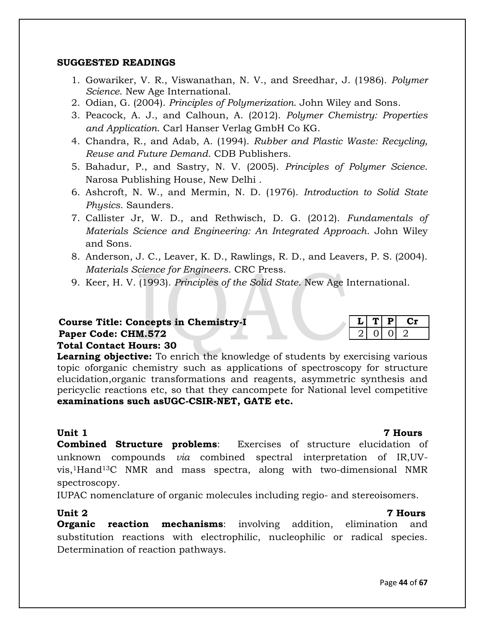## **SUGGESTED READINGS**

- 1. Gowariker, V. R., Viswanathan, N. V., and Sreedhar, J. (1986). *Polymer Science*. New Age International.
- 2. Odian, G. (2004). *Principles of Polymerization*. John Wiley and Sons.
- 3. Peacock, A. J., and Calhoun, A. (2012). *Polymer Chemistry: Properties and Application*. Carl Hanser Verlag GmbH Co KG.
- 4. Chandra, R., and Adab, A. (1994). *Rubber and Plastic Waste: Recycling, Reuse and Future Demand*. CDB Publishers.
- 5. Bahadur, P., and Sastry, N. V. (2005). *Principles of Polymer Science*. Narosa Publishing House, New Delhi .
- 6. Ashcroft, N. W., and Mermin, N. D. (1976). *Introduction to Solid State Physics*. Saunders*.*
- 7. Callister Jr, W. D., and Rethwisch, D. G. (2012). *Fundamentals of Materials Science and Engineering: An Integrated Approach*. John Wiley and Sons.
- 8. Anderson, J. C., Leaver, K. D., Rawlings, R. D., and Leavers, P. S. (2004). *Materials Science for Engineers*. CRC Press.
- 9. Keer, H. V. (1993). *Principles of the Solid State*. New Age International.

# **Course Title: Concepts in Chemistry-I Paper Code: CHM.572**

## **Total Contact Hours: 30**

**Learning objective:** To enrich the knowledge of students by exercising various topic oforganic chemistry such as applications of spectroscopy for structure elucidation,organic transformations and reagents, asymmetric synthesis and pericyclic reactions etc, so that they cancompete for National level competitive **examinations such asUGC-CSIR-NET, GATE etc.**

**Unit 1 7 Hours Combined Structure problems**: Exercises of structure elucidation of unknown compounds *via* combined spectral interpretation of IR,UVvis,1Hand13C NMR and mass spectra, along with two-dimensional NMR spectroscopy.

IUPAC nomenclature of organic molecules including regio- and stereoisomers.

**Organic reaction mechanisms**: involving addition, elimination and substitution reactions with electrophilic, nucleophilic or radical species. Determination of reaction pathways.

## **Unit 2 7 Hours**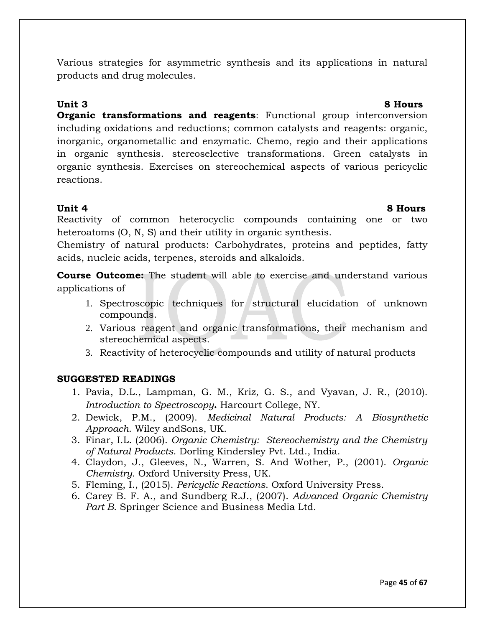Various strategies for asymmetric synthesis and its applications in natural products and drug molecules.

## **Unit 3 8 Hours**

**Organic transformations and reagents:** Functional group interconversion including oxidations and reductions; common catalysts and reagents: organic, inorganic, organometallic and enzymatic. Chemo, regio and their applications in organic synthesis. stereoselective transformations. Green catalysts in organic synthesis. Exercises on stereochemical aspects of various pericyclic reactions.

## **Unit 4 8 Hours**

Reactivity of common heterocyclic compounds containing one or two heteroatoms  $(0, N, S)$  and their utility in organic synthesis.

Chemistry of natural products: Carbohydrates, proteins and peptides, fatty acids, nucleic acids, terpenes, steroids and alkaloids.

**Course Outcome:** The student will able to exercise and understand various applications of

- 1. Spectroscopic techniques for structural elucidation of unknown compounds.
- 2. Various reagent and organic transformations, their mechanism and stereochemical aspects.
- 3. Reactivity of heterocyclic compounds and utility of natural products

## **SUGGESTED READINGS**

- 1. Pavia, D.L., Lampman, G. M., Kriz, G. S., and Vyavan, J. R., (2010). *Introduction to Spectroscopy***.** Harcourt College, NY.
- 2. Dewick, P.M., (2009). *Medicinal Natural Products: A Biosynthetic Approach*. Wiley andSons, UK.
- 3. Finar, I.L. (2006). *Organic Chemistry: Stereochemistry and the Chemistry of Natural Products*. Dorling Kindersley Pvt. Ltd., India.
- 4. Claydon, J., Gleeves, N., Warren, S. And Wother, P., (2001). *Organic Chemistry*. Oxford University Press, UK.
- 5. Fleming, I., (2015). *Pericyclic Reactions*. Oxford University Press.
- 6. Carey B. F. A., and Sundberg R.J., (2007). *Advanced Organic Chemistry Part B*. Springer Science and Business Media Ltd.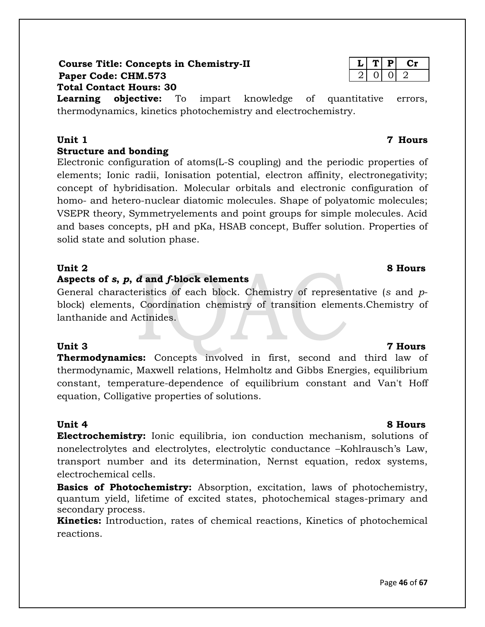## **Course Title: Concepts in Chemistry-II L T L T P Cr Paper Code: CHM.573** 2 0 0 2 **Total Contact Hours: 30**

**Learning objective:** To impart knowledge of quantitative errors, thermodynamics, kinetics photochemistry and electrochemistry.

## **Unit 1 7 Hours Structure and bonding**

Electronic configuration of atoms(L-S coupling) and the periodic properties of elements; Ionic radii, Ionisation potential, electron affinity, electronegativity; concept of hybridisation. Molecular orbitals and electronic configuration of homo- and hetero-nuclear diatomic molecules. Shape of polyatomic molecules; VSEPR theory, Symmetryelements and point groups for simple molecules. Acid and bases concepts, pH and pKa, HSAB concept, Buffer solution. Properties of solid state and solution phase.

## **Unit 2 8 Hours**

# **Aspects of** *s***,** *p***,** *d* **and** *f***-block elements**

General characteristics of each block. Chemistry of representative (*s* and *p*block) elements, Coordination chemistry of transition elements.Chemistry of lanthanide and Actinides.

**Unit 3 7 Hours Thermodynamics:** Concepts involved in first, second and third law of thermodynamic, Maxwell relations, Helmholtz and Gibbs Energies, equilibrium constant, temperature-dependence of equilibrium constant and Van't Hoff equation, Colligative properties of solutions.

## **Unit 4** 8 Hours

**Electrochemistry:** Ionic equilibria, ion conduction mechanism, solutions of nonelectrolytes and electrolytes, electrolytic conductance –Kohlrausch's Law, transport number and its determination, Nernst equation, redox systems, electrochemical cells.

**Basics of Photochemistry:** Absorption, excitation, laws of photochemistry, quantum yield, lifetime of excited states, photochemical stages-primary and secondary process.

**Kinetics:** Introduction, rates of chemical reactions, Kinetics of photochemical reactions.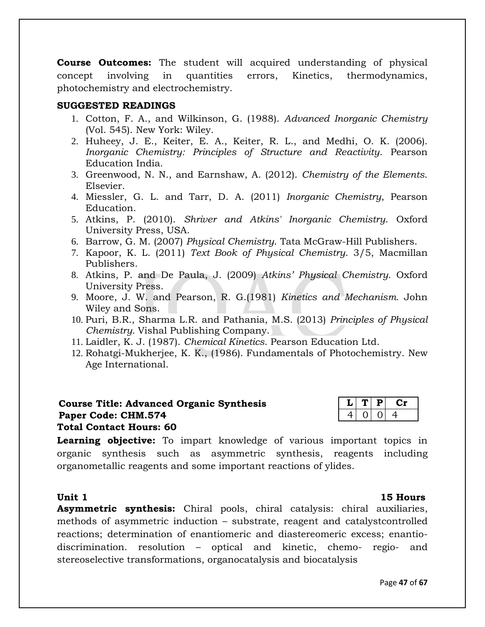**Course Outcomes:** The student will acquired understanding of physical concept involving in quantities errors, Kinetics, thermodynamics, photochemistry and electrochemistry.

## **SUGGESTED READINGS**

- 1. Cotton, F. A., and Wilkinson, G. (1988). *Advanced Inorganic Chemistry* (Vol. 545). New York: Wiley.
- 2. Huheey, J. E., Keiter, E. A., Keiter, R. L., and Medhi, O. K. (2006). *Inorganic Chemistry: Principles of Structure and Reactivity*. Pearson Education India.
- 3. Greenwood, N. N., and Earnshaw, A. (2012). *Chemistry of the Elements*. Elsevier.
- 4. Miessler, G. L. and Tarr, D. A. (2011) *Inorganic Chemistry*, Pearson Education.
- 5. Atkins, P. (2010). *Shriver and Atkins' Inorganic Chemistry*. Oxford University Press, USA.
- 6. Barrow, G. M. (2007) *Physical Chemistry*. Tata McGraw-Hill Publishers.
- 7. Kapoor, K. L. (2011) *Text Book of Physical Chemistry*. 3/5, Macmillan Publishers.
- 8. Atkins, P. and De Paula, J. (2009) *Atkins' Physical Chemistry.* Oxford University Press.
- 9. Moore, J. W. and Pearson, R. G.(1981) *Kinetics and Mechanism.* John Wiley and Sons.
- 10. Puri, B.R., Sharma L.R. and Pathania, M.S. (2013) *Principles of Physical Chemistry.* Vishal Publishing Company.
- 11. Laidler, K. J. (1987). *Chemical Kinetics*. Pearson Education Ltd.
- 12. Rohatgi-Mukherjee, K. K., (1986). Fundamentals of Photochemistry. New Age International.

## **Course Title: Advanced Organic Synthesis Paper Code: CHM.574 Total Contact Hours: 60**

|  | ш |   |
|--|---|---|
|  |   | ∸ |

**Learning objective:** To impart knowledge of various important topics in organic synthesis such as asymmetric synthesis, reagents including organometallic reagents and some important reactions of ylides.

## **Unit 1** 15 Hours

**Asymmetric synthesis:** Chiral pools, chiral catalysis: chiral auxiliaries, methods of asymmetric induction – substrate, reagent and catalystcontrolled reactions; determination of enantiomeric and diastereomeric excess; enantiodiscrimination. resolution – optical and kinetic, chemo- regio- and stereoselective transformations, organocatalysis and biocatalysis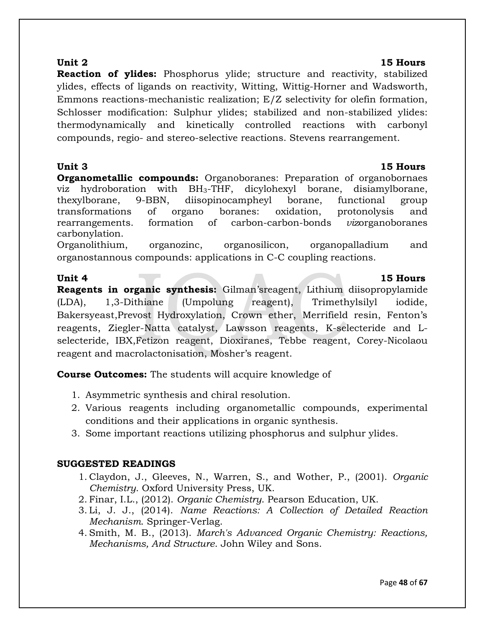**Reaction of ylides:** Phosphorus ylide; structure and reactivity, stabilized ylides, effects of ligands on reactivity, Witting, Wittig-Horner and Wadsworth, Emmons reactions-mechanistic realization; E/Z selectivity for olefin formation, Schlosser modification: Sulphur ylides; stabilized and non-stabilized ylides: thermodynamically and kinetically controlled reactions with carbonyl compounds, regio- and stereo-selective reactions. Stevens rearrangement.

**Organometallic compounds:** Organoboranes: Preparation of organobornaes viz hydroboration with BH3-THF, dicylohexyl borane, disiamylborane, thexylborane, 9-BBN, diisopinocampheyl borane, functional group transformations of organo boranes: oxidation, protonolysis and rearrangements. formation of carbon-carbon-bonds *viz*organoboranes carbonylation.

Organolithium, organozinc, organosilicon, organopalladium and organostannous compounds: applications in C-C coupling reactions.

**Reagents in organic synthesis:** Gilman'sreagent, Lithium diisopropylamide (LDA), 1,3-Dithiane (Umpolung reagent), Trimethylsilyl iodide, Bakersyeast,Prevost Hydroxylation, Crown ether, Merrifield resin, Fenton's reagents, Ziegler-Natta catalyst, Lawsson reagents, K-selecteride and Lselecteride, IBX,Fetizon reagent, Dioxiranes, Tebbe reagent, Corey-Nicolaou reagent and macrolactonisation, Mosher's reagent.

**Course Outcomes:** The students will acquire knowledge of

- 1. Asymmetric synthesis and chiral resolution.
- 2. Various reagents including organometallic compounds, experimental conditions and their applications in organic synthesis.
- 3. Some important reactions utilizing phosphorus and sulphur ylides.

## **SUGGESTED READINGS**

- 1. Claydon, J., Gleeves, N., Warren, S., and Wother, P., (2001). *Organic Chemistry*. Oxford University Press, UK.
- 2. Finar, I.L., (2012). *Organic Chemistry*. Pearson Education, UK.
- 3. Li, J. J., (2014). *Name Reactions: A Collection of Detailed Reaction Mechanism*. Springer-Verlag.
- 4. Smith, M. B., (2013). *March's Advanced Organic Chemistry: Reactions, Mechanisms, And Structure*. John Wiley and Sons.

## **Unit 2** 15 Hours

## Unit 4 15 Hours

## **Unit 3 15 Hours**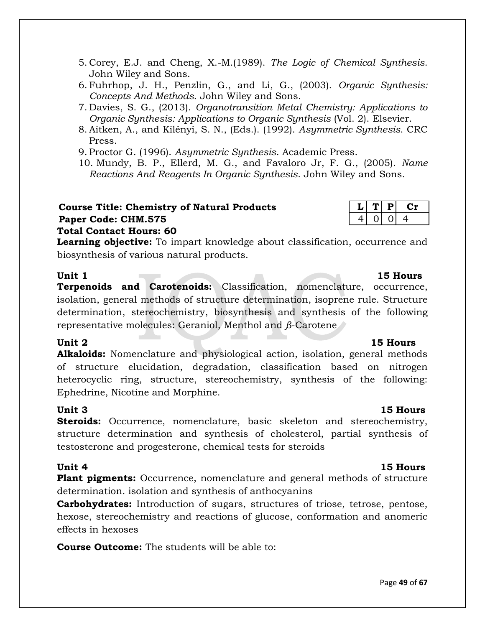- 5. Corey, E.J. and Cheng, X.-M.(1989). *The Logic of Chemical Synthesis*. John Wiley and Sons.
- 6. Fuhrhop, J. H., Penzlin, G., and Li, G., (2003). *Organic Synthesis: Concepts And Methods*. John Wiley and Sons.
- 7. Davies, S. G., (2013). *Organotransition Metal Chemistry: Applications to Organic Synthesis: Applications to Organic Synthesis* (Vol. 2). Elsevier.
- 8. Aitken, A., and Kilényi, S. N., (Eds.). (1992). *Asymmetric Synthesis*. CRC Press.
- 9. Proctor G. (1996). *Asymmetric Synthesis*. Academic Press.
- 10. Mundy, B. P., Ellerd, M. G., and Favaloro Jr, F. G., (2005). *Name Reactions And Reagents In Organic Synthesis*. John Wiley and Sons.

## **Course Title: Chemistry of Natural Products**  $|L|T|P|$  Cr **Paper Code: CHM.575 Total Contact Hours: 60**

**Learning objective:** To impart knowledge about classification, occurrence and biosynthesis of various natural products.

## Unit 1 15 Hours

**Terpenoids and Carotenoids:** Classification, nomenclature, occurrence, isolation, general methods of structure determination, isoprene rule. Structure determination, stereochemistry, biosynthesis and synthesis of the following representative molecules: Geraniol, Menthol and *β*-Carotene

**Alkaloids:** Nomenclature and physiological action, isolation, general methods of structure elucidation, degradation, classification based on nitrogen heterocyclic ring, structure, stereochemistry, synthesis of the following: Ephedrine, Nicotine and Morphine.

## **Unit 3 15 Hours**

**Steroids:** Occurrence, nomenclature, basic skeleton and stereochemistry, structure determination and synthesis of cholesterol, partial synthesis of testosterone and progesterone, chemical tests for steroids

## **Unit 4** 15 Hours

**Plant pigments:** Occurrence, nomenclature and general methods of structure determination. isolation and synthesis of anthocyanins

**Carbohydrates:** Introduction of sugars, structures of triose, tetrose, pentose, hexose, stereochemistry and reactions of glucose, conformation and anomeric effects in hexoses

**Course Outcome:** The students will be able to:

## **Unit 2** 15 Hours

| <u>/ I</u> |  |  |
|------------|--|--|
|            |  |  |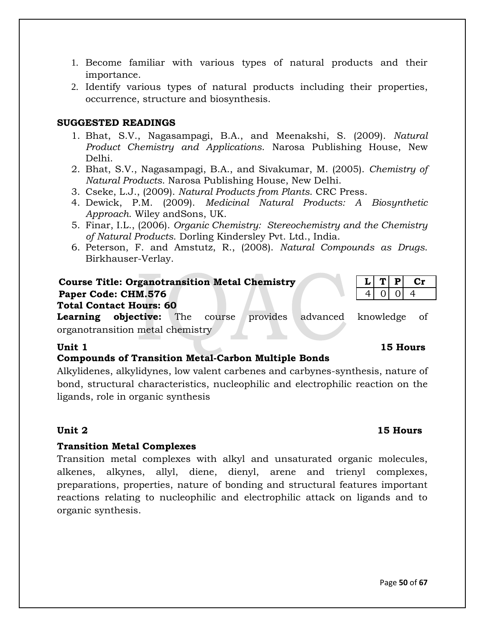Page **50** of **67**

- 1. Become familiar with various types of natural products and their importance.
- 2. Identify various types of natural products including their properties, occurrence, structure and biosynthesis.

## **SUGGESTED READINGS**

- 1. Bhat, S.V., Nagasampagi, B.A., and Meenakshi, S. (2009). *Natural Product Chemistry and Applications*. Narosa Publishing House, New Delhi.
- 2. Bhat, S.V., Nagasampagi, B.A., and Sivakumar, M. (2005). *Chemistry of Natural Products*. Narosa Publishing House, New Delhi.
- 3. Cseke, L.J., (2009). *Natural Products from Plants*. CRC Press.
- 4. Dewick, P.M. (2009). *Medicinal Natural Products: A Biosynthetic Approach*. Wiley andSons, UK.
- 5. Finar, I.L., (2006). *Organic Chemistry: Stereochemistry and the Chemistry of Natural Products*. Dorling Kindersley Pvt. Ltd., India.
- 6. Peterson, F. and Amstutz, R., (2008). *Natural Compounds as Drugs*. Birkhauser-Verlay.

## **Course Title: Organotransition Metal Chemistry Paper Code: CHM.576**

## **Total Contact Hours: 60**

**Learning objective:** The course provides advanced knowledge of organotransition metal chemistry

## **Compounds of Transition Metal-Carbon Multiple Bonds**

Alkylidenes, alkylidynes, low valent carbenes and carbynes-synthesis, nature of bond, structural characteristics, nucleophilic and electrophilic reaction on the ligands, role in organic synthesis

## **Transition Metal Complexes**

Transition metal complexes with alkyl and unsaturated organic molecules, alkenes, alkynes, allyl, diene, dienyl, arene and trienyl complexes, preparations, properties, nature of bonding and structural features important reactions relating to nucleophilic and electrophilic attack on ligands and to organic synthesis.

## **Unit 1** 15 Hours

# **Unit 2** 15 Hours

| . . |    |
|-----|----|
| . . | -⊧ |
|     |    |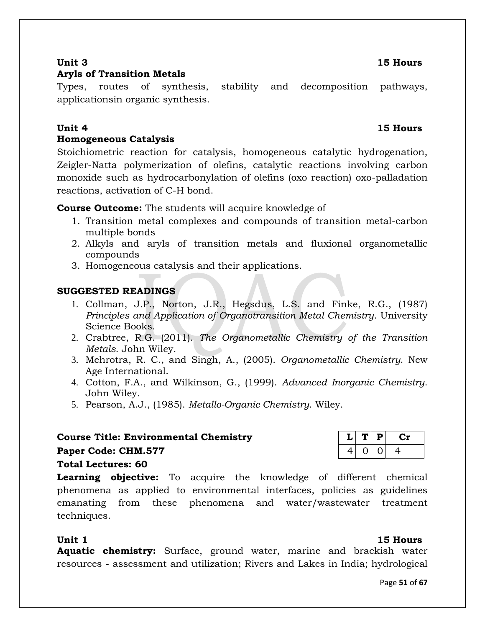## **Aryls of Transition Metals**

Types, routes of synthesis, stability and decomposition pathways, applicationsin organic synthesis.

## **Unit 4** 15 Hours **Homogeneous Catalysis**

Stoichiometric reaction for catalysis, homogeneous catalytic hydrogenation, Zeigler-Natta polymerization of olefins, catalytic reactions involving carbon monoxide such as hydrocarbonylation of olefins (oxo reaction) oxo-palladation reactions, activation of C-H bond.

**Course Outcome:** The students will acquire knowledge of

- 1. Transition metal complexes and compounds of transition metal-carbon multiple bonds
- 2. Alkyls and aryls of transition metals and fluxional organometallic compounds
- 3. Homogeneous catalysis and their applications.

## **SUGGESTED READINGS**

- 1. Collman, J.P., Norton, J.R., Hegsdus, L.S. and Finke, R.G., (1987) *Principles and Application of Organotransition Metal Chemistry*. University Science Books.
- 2. Crabtree, R.G. (2011). *The Organometallic Chemistry of the Transition Metals*. John Wiley.
- 3. Mehrotra, R. C., and Singh, A., (2005). *Organometallic Chemistry*. New Age International.
- 4. Cotton, F.A., and Wilkinson, G., (1999). *Advanced Inorganic Chemistry*. John Wiley.
- 5. Pearson, A.J., (1985). *Metallo-Organic Chemistry*. Wiley.

## **Course Title: Environmental Chemistry**  $|L|T|P|$  Cr

## **Paper Code: CHM.577** 4 0 0 4

## **Total Lectures: 60**

**Learning objective:** To acquire the knowledge of different chemical phenomena as applied to environmental interfaces, policies as guidelines emanating from these phenomena and water/wastewater treatment techniques.

## **Unit 1** 15 Hours

**Aquatic chemistry:** Surface, ground water, marine and brackish water resources - assessment and utilization; Rivers and Lakes in India; hydrological

Page **51** of **67**

## **Unit 3 15 Hours**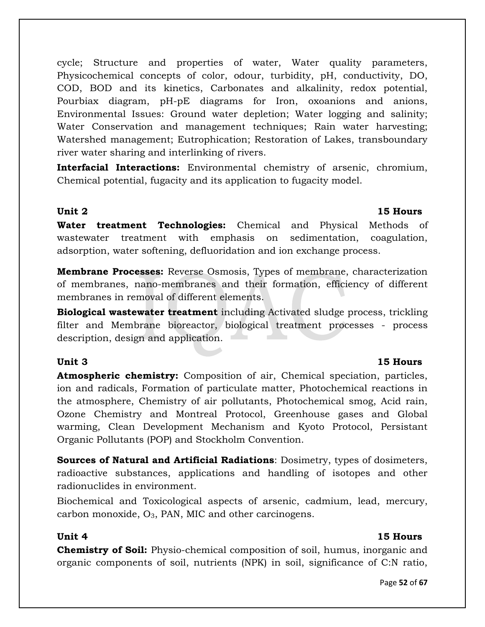cycle; Structure and properties of water, Water quality parameters, Physicochemical concepts of color, odour, turbidity, pH, conductivity, DO, COD, BOD and its kinetics, Carbonates and alkalinity, redox potential, Pourbiax diagram, pH-pE diagrams for Iron, oxoanions and anions, Environmental Issues: Ground water depletion; Water logging and salinity; Water Conservation and management techniques; Rain water harvesting; Watershed management; Eutrophication; Restoration of Lakes, transboundary river water sharing and interlinking of rivers.

**Interfacial Interactions:** Environmental chemistry of arsenic, chromium, Chemical potential, fugacity and its application to fugacity model.

## **Unit 2** 15 Hours

**Water treatment Technologies:** Chemical and Physical Methods of wastewater treatment with emphasis on sedimentation, coagulation, adsorption, water softening, defluoridation and ion exchange process.

**Membrane Processes:** Reverse Osmosis, Types of membrane, characterization of membranes, nano-membranes and their formation, efficiency of different membranes in removal of different elements.

**Biological wastewater treatment** including Activated sludge process, trickling filter and Membrane bioreactor, biological treatment processes - process description, design and application.

## **Unit 3 15 Hours**

# **Atmospheric chemistry:** Composition of air, Chemical speciation, particles, ion and radicals, Formation of particulate matter, Photochemical reactions in the atmosphere, Chemistry of air pollutants, Photochemical smog, Acid rain, Ozone Chemistry and Montreal Protocol, Greenhouse gases and Global warming, Clean Development Mechanism and Kyoto Protocol, Persistant Organic Pollutants (POP) and Stockholm Convention.

**Sources of Natural and Artificial Radiations**: Dosimetry, types of dosimeters, radioactive substances, applications and handling of isotopes and other radionuclides in environment.

Biochemical and Toxicological aspects of arsenic, cadmium, lead, mercury, carbon monoxide,  $O_3$ , PAN, MIC and other carcinogens.

## **Unit 4** 15 Hours

**Chemistry of Soil:** Physio-chemical composition of soil, humus, inorganic and organic components of soil, nutrients (NPK) in soil, significance of C:N ratio,

Page **52** of **67**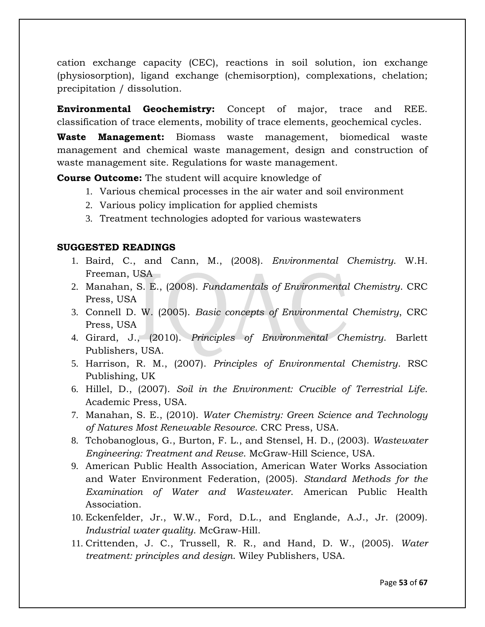cation exchange capacity (CEC), reactions in soil solution, ion exchange (physiosorption), ligand exchange (chemisorption), complexations, chelation; precipitation / dissolution.

**Environmental Geochemistry:** Concept of major, trace and REE. classification of trace elements, mobility of trace elements, geochemical cycles.

**Waste Management:** Biomass waste management, biomedical waste management and chemical waste management, design and construction of waste management site. Regulations for waste management.

**Course Outcome:** The student will acquire knowledge of

- 1. Various chemical processes in the air water and soil environment
- 2. Various policy implication for applied chemists
- 3. Treatment technologies adopted for various wastewaters

## **SUGGESTED READINGS**

- 1. Baird, C., and Cann, M., (2008). *Environmental Chemistry*. W.H. Freeman, USA
- 2. Manahan, S. E., (2008). *Fundamentals of Environmental Chemistry*. CRC Press, USA
- 3. Connell D. W. (2005). *Basic concepts of Environmental Chemistry*, CRC Press, USA
- 4. Girard, J., (2010). *Principles of Environmental Chemistry*. Barlett Publishers, USA.
- 5. Harrison, R. M., (2007). *Principles of Environmental Chemistry*. RSC Publishing, UK
- 6. Hillel, D., (2007). *Soil in the Environment: Crucible of Terrestrial Life*. Academic Press, USA.
- 7. Manahan, S. E., (2010). *Water Chemistry: Green Science and Technology of Natures Most Renewable Resource*. CRC Press, USA.
- 8. Tchobanoglous, G., Burton, F. L., and Stensel, H. D., (2003). *Wastewater Engineering: Treatment and Reuse*. McGraw-Hill Science, USA.
- 9. American Public Health Association, American Water Works Association and Water Environment Federation, (2005). *Standard Methods for the Examination of Water and Wastewater*. American Public Health Association.
- 10. Eckenfelder, Jr., W.W., Ford, D.L., and Englande, A.J., Jr. (2009). *Industrial water quality*. McGraw-Hill.
- 11. Crittenden, J. C., Trussell, R. R., and Hand, D. W., (2005). *Water treatment: principles and design*. Wiley Publishers, USA.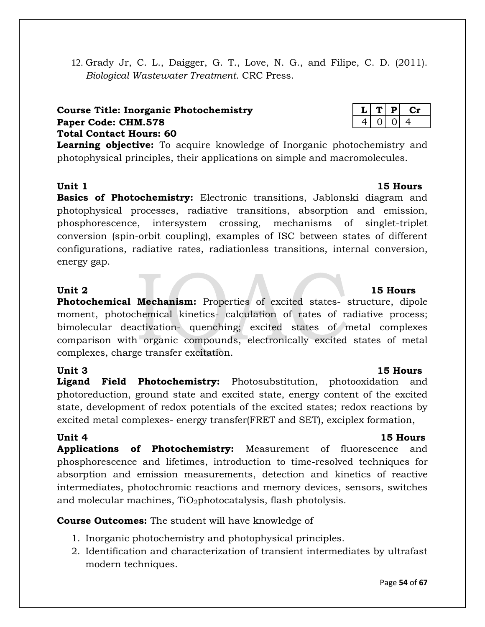12. Grady Jr, C. L., Daigger, G. T., Love, N. G., and Filipe, C. D. (2011). *Biological Wastewater Treatment*. CRC Press.

## **Course Title: Inorganic Photochemistry L T P Cr Paper Code: CHM.578** 4 0 0 4 **Total Contact Hours: 60**

**Learning objective:** To acquire knowledge of Inorganic photochemistry and photophysical principles, their applications on simple and macromolecules.

## **Unit 1** 15 Hours

**Basics of Photochemistry:** Electronic transitions, Jablonski diagram and photophysical processes, radiative transitions, absorption and emission, phosphorescence, intersystem crossing, mechanisms of singlet-triplet conversion (spin-orbit coupling), examples of ISC between states of different configurations, radiative rates, radiationless transitions, internal conversion, energy gap.

**Photochemical Mechanism:** Properties of excited states- structure, dipole moment, photochemical kinetics- calculation of rates of radiative process; bimolecular deactivation- quenching; excited states of metal complexes comparison with organic compounds, electronically excited states of metal complexes, charge transfer excitation.

## **Unit 3 15 Hours**

**Ligand Field Photochemistry:** Photosubstitution, photooxidation and photoreduction, ground state and excited state, energy content of the excited state, development of redox potentials of the excited states; redox reactions by excited metal complexes- energy transfer(FRET and SET), exciplex formation,

**Unit 4 15 Hours Applications of Photochemistry:** Measurement of fluorescence and phosphorescence and lifetimes, introduction to time-resolved techniques for absorption and emission measurements, detection and kinetics of reactive intermediates, photochromic reactions and memory devices, sensors, switches and molecular machines,  $TiO<sub>2</sub>photocatalysis$ , flash photolysis.

## **Course Outcomes:** The student will have knowledge of

- 1. Inorganic photochemistry and photophysical principles.
- 2. Identification and characterization of transient intermediates by ultrafast modern techniques.

# **Unit 2 15 Hours**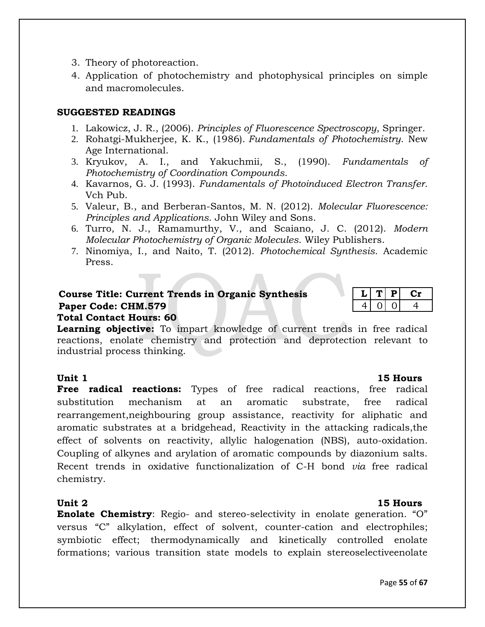- 3. Theory of photoreaction.
- 4. Application of photochemistry and photophysical principles on simple and macromolecules.

## **SUGGESTED READINGS**

- 1. Lakowicz, J. R., (2006). *Principles of Fluorescence Spectroscopy*, Springer.
- 2. Rohatgi-Mukherjee, K. K., (1986). *Fundamentals of Photochemistry*. New Age International.
- 3. Kryukov, A. I., and Yakuchmii, S., (1990). *Fundamentals of Photochemistry of Coordination Compounds*.
- 4. Kavarnos, G. J. (1993). *Fundamentals of Photoinduced Electron Transfer*. Vch Pub.
- 5. Valeur, B., and Berberan-Santos, M. N. (2012). *Molecular Fluorescence: Principles and Applications*. John Wiley and Sons.
- 6. Turro, N. J., Ramamurthy, V., and Scaiano, J. C. (2012). *Modern Molecular Photochemistry of Organic Molecules*. Wiley Publishers.
- 7. Ninomiya, I., and Naito, T. (2012). *Photochemical Synthesis*. Academic Press.

# **Course Title: Current Trends in Organic Synthesis L T P Cr Paper Code: CHM.579** 4 0 0 4

## **Total Contact Hours: 60**

**Learning objective:** To impart knowledge of current trends in free radical reactions, enolate chemistry and protection and deprotection relevant to industrial process thinking.

**Unit 1 15** Hours **Free radical reactions:** Types of free radical reactions, free radical substitution mechanism at an aromatic substrate, free radical rearrangement,neighbouring group assistance, reactivity for aliphatic and aromatic substrates at a bridgehead, Reactivity in the attacking radicals,the effect of solvents on reactivity, allylic halogenation (NBS), auto-oxidation. Coupling of alkynes and arylation of aromatic compounds by diazonium salts. Recent trends in oxidative functionalization of C-H bond *via* free radical chemistry.

## **Unit 2 15 Hours**

**Enolate Chemistry**: Regio- and stereo-selectivity in enolate generation. "O" versus "C" alkylation, effect of solvent, counter-cation and electrophiles; symbiotic effect; thermodynamically and kinetically controlled enolate formations; various transition state models to explain stereoselectiveenolate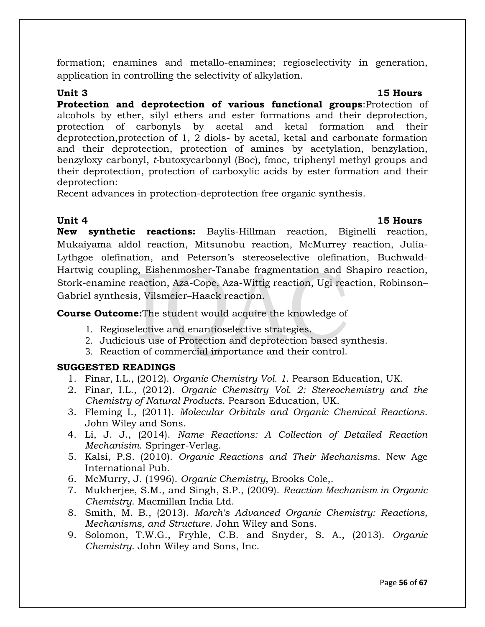Page **56** of **67**

formation; enamines and metallo-enamines; regioselectivity in generation, application in controlling the selectivity of alkylation.

**Unit 3 15 Hours Protection and deprotection of various functional groups**:Protection of alcohols by ether, silyl ethers and ester formations and their deprotection, protection of carbonyls by acetal and ketal formation and their deprotection,protection of 1, 2 diols- by acetal, ketal and carbonate formation and their deprotection, protection of amines by acetylation, benzylation, benzyloxy carbonyl, *t-*butoxycarbonyl (Boc), fmoc, triphenyl methyl groups and their deprotection, protection of carboxylic acids by ester formation and their deprotection:

Recent advances in protection-deprotection free organic synthesis.

## **Unit 4** 15 Hours

**New synthetic reactions:** Baylis-Hillman reaction, Biginelli reaction, Mukaiyama aldol reaction, Mitsunobu reaction, McMurrey reaction, Julia-Lythgoe olefination, and Peterson's stereoselective olefination, Buchwald-Hartwig coupling, Eishenmosher-Tanabe fragmentation and Shapiro reaction, Stork-enamine reaction, Aza-Cope, Aza-Wittig reaction, Ugi reaction, Robinson– Gabriel synthesis, Vilsmeier–Haack reaction.

**Course Outcome:**The student would acquire the knowledge of

- 1. Regioselective and enantioselective strategies.
- 2. Judicious use of Protection and deprotection based synthesis.
- 3. Reaction of commercial importance and their control.

## **SUGGESTED READINGS**

- 1. Finar, I.L., (2012). *Organic Chemistry Vol. 1*. Pearson Education, UK.
- 2. Finar, I.L., (2012). *Organic Chemsitry Vol. 2: Stereochemistry and the Chemistry of Natural Products*. Pearson Education, UK.
- 3. Fleming I., (2011). *Molecular Orbitals and Organic Chemical Reactions*. John Wiley and Sons.
- 4. Li, J. J., (2014). *Name Reactions: A Collection of Detailed Reaction Mechanisim*. Springer-Verlag.
- 5. Kalsi, P.S. (2010). *Organic Reactions and Their Mechanisms*. New Age International Pub.
- 6. McMurry, J. (1996). *Organic Chemistry*, Brooks Cole,.
- 7. Mukherjee, S.M., and Singh, S.P., (2009). *Reaction Mechanism in Organic Chemistry*. Macmillan India Ltd.
- 8. Smith, M. B., (2013). *March's Advanced Organic Chemistry: Reactions, Mechanisms, and Structure*. John Wiley and Sons.
- 9. Solomon, T.W.G., Fryhle, C.B. and [Snyder,](http://www.wiley.com/WileyCDA/Section/id-302475.html?query=Scott+A.+Snyder) S. A., (2013). *Organic Chemistry*. John Wiley and Sons, Inc.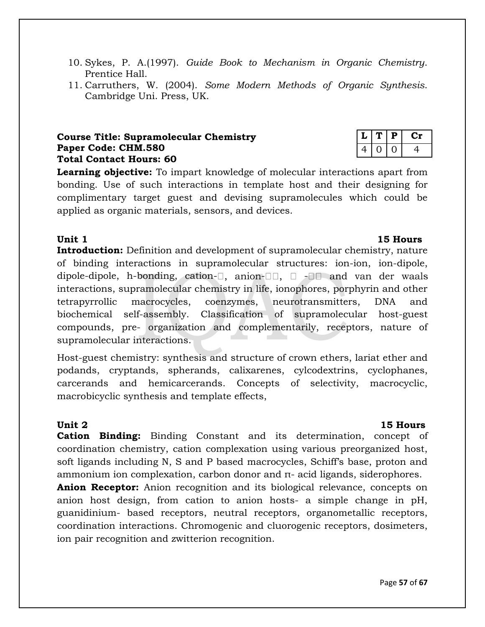- 10. Sykes, P. A.(1997). *Guide Book to Mechanism in Organic Chemistry*. Prentice Hall.
- 11. Carruthers, W. (2004). *Some Modern Methods of Organic Synthesis*. Cambridge Uni. Press, UK.

## **Course Title: Supramolecular Chemistry Paper Code: CHM.580 Total Contact Hours: 60**

**Learning objective:** To impart knowledge of molecular interactions apart from bonding. Use of such interactions in template host and their designing for complimentary target guest and devising supramolecules which could be applied as organic materials, sensors, and devices.

## **Unit 1** 15 Hours

**Introduction:** Definition and development of supramolecular chemistry, nature of binding interactions in supramolecular structures: ion-ion, ion-dipole, dipole-dipole, h-bonding, cation- $\Box$ , anion- $\Box$  $\Box$ ,  $\Box$  - $\Box$  and van der waals interactions, supramolecular chemistry in life, ionophores, porphyrin and other tetrapyrrollic macrocycles, coenzymes, neurotransmitters, DNA and biochemical self-assembly. Classification of supramolecular host-guest compounds, pre- organization and complementarily, receptors, nature of supramolecular interactions.

Host-guest chemistry: synthesis and structure of crown ethers, lariat ether and podands, cryptands, spherands, calixarenes, cylcodextrins, cyclophanes, carcerands and hemicarcerands. Concepts of selectivity, macrocyclic, macrobicyclic synthesis and template effects,

**Cation Binding:** Binding Constant and its determination, concept of coordination chemistry, cation complexation using various preorganized host, soft ligands including N, S and P based macrocycles, Schiff's base, proton and ammonium ion complexation, carbon donor and π- acid ligands, siderophores.

**Anion Receptor:** Anion recognition and its biological relevance, concepts on anion host design, from cation to anion hosts- a simple change in pH, guanidinium- based receptors, neutral receptors, organometallic receptors, coordination interactions. Chromogenic and cluorogenic receptors, dosimeters, ion pair recognition and zwitterion recognition.

|   | Р | ч. |
|---|---|----|
| 4 |   | 4  |

## **Unit 2** 15 Hours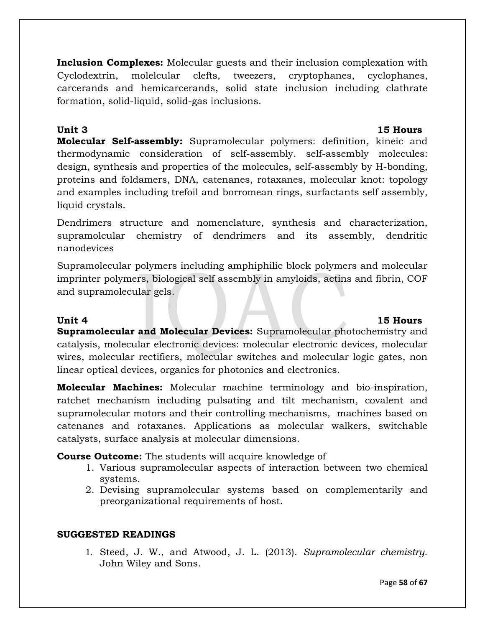**Inclusion Complexes:** Molecular guests and their inclusion complexation with Cyclodextrin, molelcular clefts, tweezers, cryptophanes, cyclophanes, carcerands and hemicarcerands, solid state inclusion including clathrate formation, solid-liquid, solid-gas inclusions.

# **Unit 3 15 Hours**

**Molecular Self-assembly:** Supramolecular polymers: definition, kineic and thermodynamic consideration of self-assembly. self-assembly molecules: design, synthesis and properties of the molecules, self-assembly by H-bonding, proteins and foldamers, DNA, catenanes, rotaxanes, molecular knot: topology and examples including trefoil and borromean rings, surfactants self assembly, liquid crystals.

Dendrimers structure and nomenclature, synthesis and characterization, supramolcular chemistry of dendrimers and its assembly, dendritic nanodevices

Supramolecular polymers including amphiphilic block polymers and molecular imprinter polymers, biological self assembly in amyloids, actins and fibrin, COF and supramolecular gels.

## **Unit 4 15 Hours**

**Supramolecular and Molecular Devices:** Supramolecular photochemistry and catalysis, molecular electronic devices: molecular electronic devices, molecular wires, molecular rectifiers, molecular switches and molecular logic gates, non linear optical devices, organics for photonics and electronics.

**Molecular Machines:** Molecular machine terminology and bio-inspiration, ratchet mechanism including pulsating and tilt mechanism, covalent and supramolecular motors and their controlling mechanisms, machines based on catenanes and rotaxanes. Applications as molecular walkers, switchable catalysts, surface analysis at molecular dimensions.

**Course Outcome:** The students will acquire knowledge of

- 1. Various supramolecular aspects of interaction between two chemical systems.
- 2. Devising supramolecular systems based on complementarily and preorganizational requirements of host.

## **SUGGESTED READINGS**

1. Steed, J. W., and Atwood, J. L. (2013). *Supramolecular chemistry*. John Wiley and Sons.

Page **58** of **67**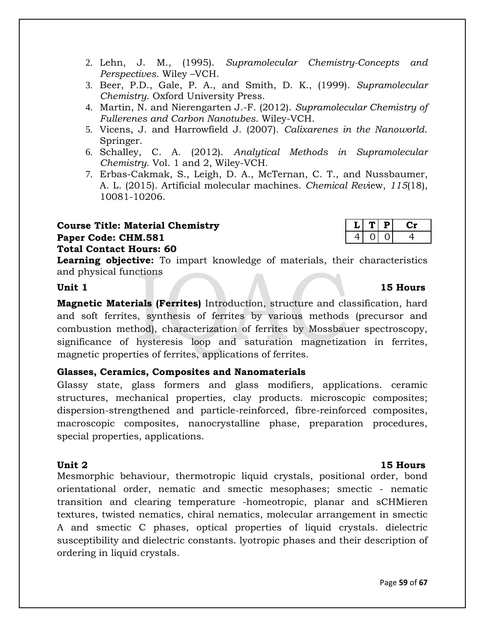- 2. Lehn, J. M., (1995). *Supramolecular Chemistry-Concepts and Perspectives*. Wiley –VCH.
- 3. Beer, P.D., Gale, P. A., and Smith, D. K., (1999). *Supramolecular Chemistry*. Oxford University Press.
- 4. Martin, N. and Nierengarten J.-F. (2012). *Supramolecular Chemistry of Fullerenes and Carbon Nanotubes*. Wiley-VCH.
- 5. Vicens, J. and Harrowfield J. (2007). *Calixarenes in the Nanoworld*. Springer.
- 6. Schalley, C. A. (2012). *Analytical Methods in Supramolecular Chemistry*. Vol. 1 and 2, Wiley-VCH.
- 7. Erbas-Cakmak, S., Leigh, D. A., McTernan, C. T., and Nussbaumer, A. L. (2015). Artificial molecular machines. *Chemical Rev*iew, *115*(18), 10081-10206.

## **Course Title: Material Chemistry**  $|L|T|P|$  Cr **Paper Code: CHM.581** 4 0 0 4 **Total Contact Hours: 60**

**Learning objective:** To impart knowledge of materials, their characteristics and physical functions

**Magnetic Materials (Ferrites)** Introduction, structure and classification, hard and soft ferrites, synthesis of ferrites by various methods (precursor and combustion method), characterization of ferrites by Mossbauer spectroscopy, significance of hysteresis loop and saturation magnetization in ferrites, magnetic properties of ferrites, applications of ferrites.

## **Glasses, Ceramics, Composites and Nanomaterials**

Glassy state, glass formers and glass modifiers, applications. ceramic structures, mechanical properties, clay products. microscopic composites; dispersion-strengthened and particle-reinforced, fibre-reinforced composites, macroscopic composites, nanocrystalline phase, preparation procedures, special properties, applications.

## **Unit 2** 15 Hours

Mesmorphic behaviour, thermotropic liquid crystals, positional order, bond orientational order, nematic and smectic mesophases; smectic - nematic transition and clearing temperature -homeotropic, planar and sCHMieren textures, twisted nematics, chiral nematics, molecular arrangement in smectic A and smectic C phases, optical properties of liquid crystals. dielectric susceptibility and dielectric constants. lyotropic phases and their description of ordering in liquid crystals.

## Unit 1 15 Hours

## Page **59** of **67**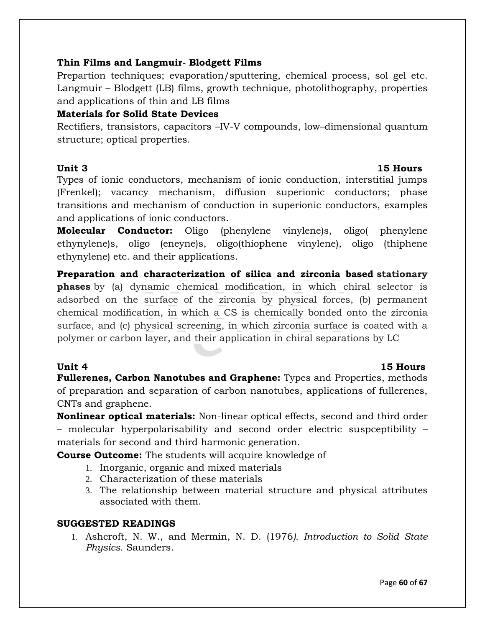## **Thin Films and Langmuir- Blodgett Films**

Prepartion techniques; evaporation/sputtering, chemical process, sol gel etc. Langmuir – Blodgett (LB) films, growth technique, photolithography, properties and applications of thin and LB films

## **Materials for Solid State Devices**

Rectifiers, transistors, capacitors –IV-V compounds, low–dimensional quantum structure; optical properties.

## **Unit 3 15 Hours**

Types of ionic conductors, mechanism of ionic conduction, interstitial jumps (Frenkel); vacancy mechanism, diffusion superionic conductors; phase transitions and mechanism of conduction in superionic conductors, examples and applications of ionic conductors.

**Molecular Conductor:** Oligo (phenylene vinylene)s, oligo( phenylene ethynylene)s, oligo (eneyne)s, oligo(thiophene vinylene), oligo (thiphene ethynylene) etc. and their applications.

**Preparation and characterization of silica and zirconia based stationary phases** by (a) dynamic chemical modification, in which chiral selector is adsorbed on the surface of the zirconia by physical forces, (b) permanent chemical modification, in which a CS is chemically bonded onto the zirconia surface, and (c) physical screening, in which zirconia surface is coated with a polymer or carbon layer, and their application in chiral separations by LC

## **Unit 4** 15 Hours

**Fullerenes, Carbon Nanotubes and Graphene:** Types and Properties, methods of preparation and separation of carbon nanotubes, applications of fullerenes, CNTs and graphene.

**Nonlinear optical materials:** Non-linear optical effects, second and third order – molecular hyperpolarisability and second order electric suspceptibility – materials for second and third harmonic generation.

**Course Outcome:** The students will acquire knowledge of

- 1. Inorganic, organic and mixed materials
- 2. Characterization of these materials
- 3. The relationship between material structure and physical attributes associated with them.

## **SUGGESTED READINGS**

1. Ashcroft, N. W., and Mermin, N. D. (1976*). Introduction to Solid State Physics*. Saunders.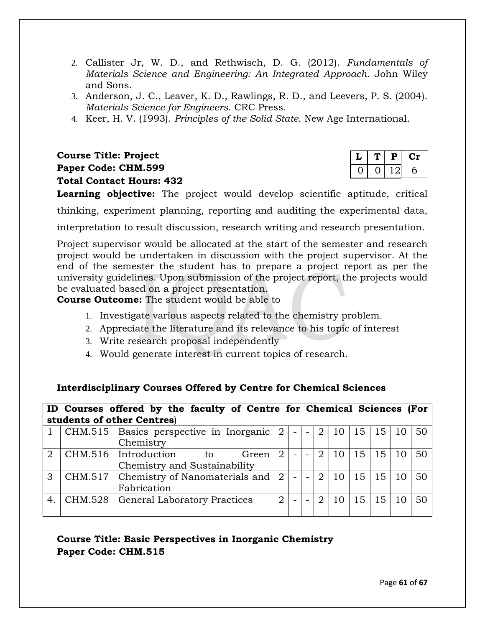- 2. Callister Jr, W. D., and Rethwisch, D. G. (2012). *Fundamentals of Materials Science and Engineering: An Integrated Approach*. John Wiley and Sons.
- 3. Anderson, J. C., Leaver, K. D., Rawlings, R. D., and Leevers, P. S. (2004). *Materials Science for Engineers*. CRC Press.
- 4. Keer, H. V. (1993). *Principles of the Solid State*. New Age International.

# **Course Title: Project Paper Code: CHM.599 Total Contact Hours: 432**

|  | Р |  |
|--|---|--|
|  |   |  |

**Learning objective:** The project would develop scientific aptitude, critical thinking, experiment planning, reporting and auditing the experimental data, interpretation to result discussion, research writing and research presentation.

Project supervisor would be allocated at the start of the semester and research

project would be undertaken in discussion with the project supervisor. At the end of the semester the student has to prepare a project report as per the university guidelines. Upon submission of the project report, the projects would be evaluated based on a project presentation.

**Course Outcome:** The student would be able to

- 1. Investigate various aspects related to the chemistry problem.
- 2. Appreciate the literature and its relevance to his topic of interest
- 3. Write research proposal independently
- 4. Would generate interest in current topics of research.

## **Interdisciplinary Courses Offered by Centre for Chemical Sciences**

|                             | ID Courses offered by the faculty of Centre for Chemical Sciences (For |                                           |                       |                          |  |                             |               |    |                 |       |    |
|-----------------------------|------------------------------------------------------------------------|-------------------------------------------|-----------------------|--------------------------|--|-----------------------------|---------------|----|-----------------|-------|----|
|                             | students of other Centres)                                             |                                           |                       |                          |  |                             |               |    |                 |       |    |
|                             |                                                                        | CHM.515   Basics perspective in Inorganic | 2                     |                          |  | 2                           | <sup>10</sup> | 15 | 15 <sup>1</sup> | 10 50 |    |
|                             |                                                                        | Chemistry                                 |                       |                          |  |                             |               |    |                 |       |    |
| $\mathcal{D}_{\mathcal{L}}$ |                                                                        | CHM.516   Introduction<br>Green<br>to     | $\mathcal{D}_{\cdot}$ |                          |  | 2                           | 10            | 15 | 15 <sub>1</sub> | 10    | 50 |
|                             |                                                                        | Chemistry and Sustainability              |                       |                          |  |                             |               |    |                 |       |    |
| 3                           |                                                                        | CHM.517   Chemistry of Nanomaterials and  |                       | $\overline{2}$<br>$\sim$ |  | $\mathcal{D}_{\mathcal{L}}$ | 10            | 15 | 15 <sup>1</sup> | 10    | 50 |
|                             |                                                                        | Fabrication                               |                       |                          |  |                             |               |    |                 |       |    |
| $\overline{4}$              |                                                                        | CHM.528   General Laboratory Practices    |                       |                          |  | 2                           | 10            | 15 | 15              | 10    | 50 |
|                             |                                                                        |                                           |                       |                          |  |                             |               |    |                 |       |    |

# **Course Title: Basic Perspectives in Inorganic Chemistry Paper Code: CHM.515**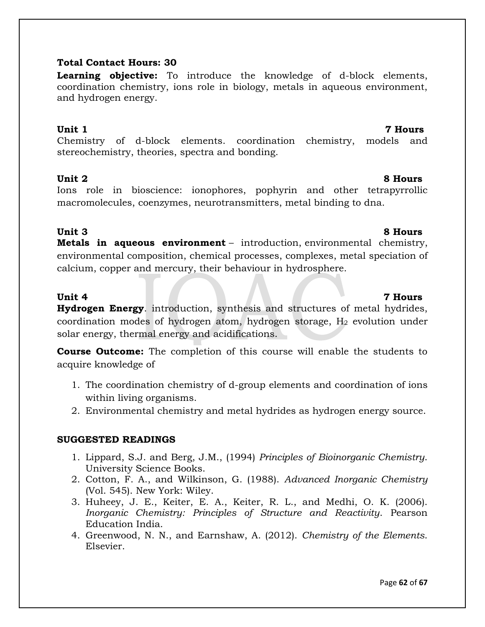## **Total Contact Hours: 30**

**Learning objective:** To introduce the knowledge of d-block elements, coordination chemistry, ions role in biology, metals in aqueous environment, and hydrogen energy.

Chemistry of d-block elements. coordination chemistry, models and stereochemistry, theories, spectra and bonding.

## **Unit 2 8 Hours**

Ions role in bioscience: ionophores, pophyrin and other tetrapyrrollic macromolecules, coenzymes, neurotransmitters, metal binding to dna.

## **Unit 3 8 Hours**

**Metals in aqueous environment** – introduction, environmental chemistry, environmental composition, chemical processes, complexes, metal speciation of calcium, copper and mercury, their behaviour in hydrosphere.

## **Unit 4 7 Hours**

**Hydrogen Energy**. introduction, synthesis and structures of metal hydrides, coordination modes of hydrogen atom, hydrogen storage,  $H_2$  evolution under solar energy, thermal energy and acidifications.

**Course Outcome:** The completion of this course will enable the students to acquire knowledge of

- 1. The coordination chemistry of d-group elements and coordination of ions within living organisms.
- 2. Environmental chemistry and metal hydrides as hydrogen energy source.

## **SUGGESTED READINGS**

- 1. Lippard, S.J. and Berg, J.M., (1994) *Principles of Bioinorganic Chemistry*. University Science Books.
- 2. Cotton, F. A., and Wilkinson, G. (1988). *Advanced Inorganic Chemistry* (Vol. 545). New York: Wiley.
- 3. Huheey, J. E., Keiter, E. A., Keiter, R. L., and Medhi, O. K. (2006). *Inorganic Chemistry: Principles of Structure and Reactivity*. Pearson Education India.
- 4. Greenwood, N. N., and Earnshaw, A. (2012). *Chemistry of the Elements*. Elsevier.

## **Unit 1 7 Hours**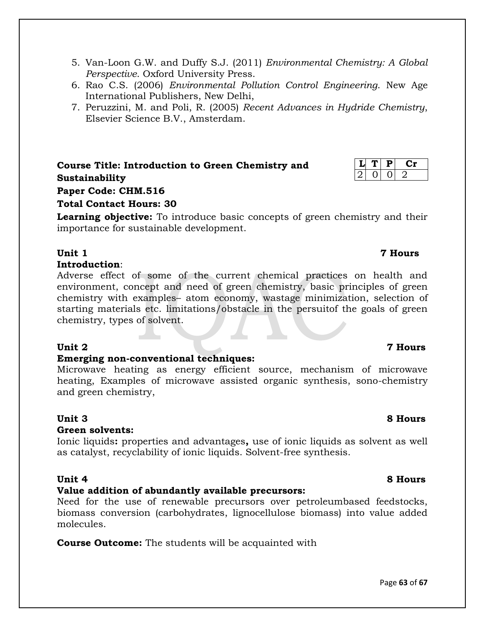- 5. Van-Loon G.W. and Duffy S.J. (2011) *Environmental Chemistry: A Global Perspective*. Oxford University Press.
- 6. Rao C.S. (2006) *Environmental Pollution Control Engineering*. New Age International Publishers, New Delhi,
- 7. Peruzzini, M. and Poli, R. (2005) *Recent Advances in Hydride Chemistry*, Elsevier Science B.V., Amsterdam.

## **Course Title: Introduction to Green Chemistry and Sustainability**

## **Paper Code: CHM.516 Total Contact Hours: 30**

**Learning objective:** To introduce basic concepts of green chemistry and their importance for sustainable development.

## **Introduction**:

Adverse effect of some of the current chemical practices on health and environment, concept and need of green chemistry, basic principles of green chemistry with examples– atom economy, wastage minimization, selection of starting materials etc. limitations/obstacle in the persuitof the goals of green chemistry, types of solvent.

## **Unit 2 7 Hours**

## **Emerging non-conventional techniques:**

Microwave heating as energy efficient source, mechanism of microwave heating, Examples of microwave assisted organic synthesis, sono-chemistry and green chemistry,

## **Unit 3 8 Hours**

## **Green solvents:**

Ionic liquids**:** properties and advantages**,** use of ionic liquids as solvent as well as catalyst, recyclability of ionic liquids. Solvent-free synthesis.

## **Value addition of abundantly available precursors:**

Need for the use of renewable precursors over petroleumbased feedstocks, biomass conversion (carbohydrates, lignocellulose biomass) into value added molecules.

**Course Outcome:** The students will be acquainted with

## $Cr$  $0 \mid 0 \mid 2$

# **Unit 1 7 Hours**

## **Unit 4 8 Hours**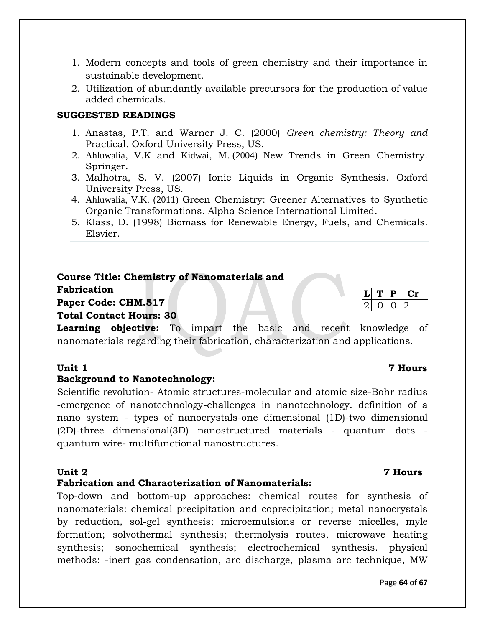- 1. Modern concepts and tools of green chemistry and their importance in sustainable development.
- 2. Utilization of abundantly available precursors for the production of value added chemicals.

## **SUGGESTED READINGS**

- 1. Anastas, P.T. and Warner J. C. (2000) *Green chemistry: Theory and*  Practical. Oxford University Press, US.
- 2. [Ahluwalia](http://link.springer.com/search?facet-creator=%22V.+K.+Ahluwalia%22), V.K and [Kidwai](http://link.springer.com/search?facet-creator=%22M.+Kidwai%22), M. (2004) New Trends in Green Chemistry. Springer.
- 3. Malhotra, S. V. (2007) Ionic Liquids in Organic Synthesis. Oxford University Press, US.
- 4. [Ahluwalia,](http://www.amazon.in/s/ref=dp_byline_sr_book_1?ie=UTF8&field-author=V.K.+Ahluwalia&search-alias=stripbooks) V.K. (2011) Green Chemistry: Greener Alternatives to Synthetic Organic Transformations. Alpha Science International Limited.
- 5. Klass, D. (1998) Biomass for Renewable Energy, Fuels, and Chemicals. Elsvier.

# **Course Title: Chemistry of Nanomaterials and**

**Fabrication**

## **Paper Code: CHM.517**

## **Total Contact Hours: 30**

**Learning objective:** To impart the basic and recent knowledge of nanomaterials regarding their fabrication, characterization and applications.

## **Unit 1 7 Hours**

## **Background to Nanotechnology:**

Scientific revolution- Atomic structures-molecular and atomic size-Bohr radius -emergence of nanotechnology-challenges in nanotechnology. definition of a nano system - types of nanocrystals-one dimensional (1D)-two dimensional (2D)-three dimensional(3D) nanostructured materials - quantum dots quantum wire- multifunctional nanostructures.

## **Fabrication and Characterization of Nanomaterials:**

Top-down and bottom-up approaches: chemical routes for synthesis of nanomaterials: chemical precipitation and coprecipitation; metal nanocrystals by reduction, sol-gel synthesis; microemulsions or reverse micelles, myle formation; solvothermal synthesis; thermolysis routes, microwave heating synthesis; sonochemical synthesis; electrochemical synthesis. physical methods: -inert gas condensation, arc discharge, plasma arc technique, MW

|  | د ه |  |
|--|-----|--|
|  |     |  |

## **Unit 2 7 Hours**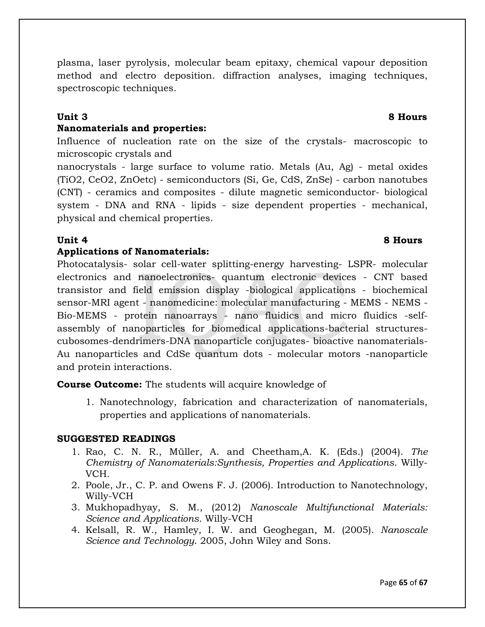plasma, laser pyrolysis, molecular beam epitaxy, chemical vapour deposition method and electro deposition. diffraction analyses, imaging techniques, spectroscopic techniques.

## **Nanomaterials and properties:**

Influence of nucleation rate on the size of the crystals- macroscopic to microscopic crystals and

nanocrystals - large surface to volume ratio. Metals (Au, Ag) - metal oxides (TiO2, CeO2, ZnOetc) - semiconductors (Si, Ge, CdS, ZnSe) - carbon nanotubes (CNT) - ceramics and composites - dilute magnetic semiconductor- biological system - DNA and RNA - lipids - size dependent properties - mechanical, physical and chemical properties.

## **Applications of Nanomaterials:**

Photocatalysis- solar cell-water splitting-energy harvesting- LSPR- molecular electronics and nanoelectronics- quantum electronic devices - CNT based transistor and field emission display -biological applications - biochemical sensor-MRI agent - nanomedicine: molecular manufacturing - MEMS - NEMS - Bio-MEMS - protein nanoarrays - nano fluidics and micro fluidics -selfassembly of nanoparticles for biomedical applications-bacterial structurescubosomes-dendrimers-DNA nanoparticle conjugates- bioactive nanomaterials-Au nanoparticles and CdSe quantum dots - molecular motors -nanoparticle and protein interactions.

**Course Outcome:** The students will acquire knowledge of

1. Nanotechnology, fabrication and characterization of nanomaterials, properties and applications of nanomaterials.

## **SUGGESTED READINGS**

- 1. Rao, C. N. R., Müller, A. and Cheetham,A. K. (Eds.) (2004). *The Chemistry of Nanomaterials:Synthesis, Properties and Applications*. Willy-VCH.
- 2. Poole, Jr., C. P. and Owens F. J. (2006). Introduction to Nanotechnology, Willy-VCH
- 3. Mukhopadhyay, S. M., (2012) *Nanoscale Multifunctional Materials: Science and Applications*. Willy-VCH
- 4. Kelsall, R. W., Hamley, I. W. and Geoghegan, M. (2005). *Nanoscale Science and Technology*. 2005, John Wiley and Sons.

## **Unit 3 8 Hours**

# **Unit 4 8 Hours**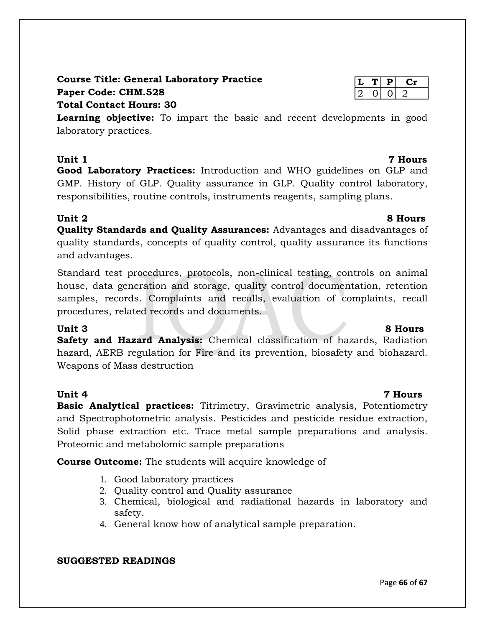## **Course Title: General Laboratory Practice Paper Code: CHM.528 Total Contact Hours: 30**

**Learning objective:** To impart the basic and recent developments in good laboratory practices.

## **Unit 1 7 Hours**

**Good Laboratory Practices:** Introduction and WHO guidelines on GLP and GMP. History of GLP. Quality assurance in GLP. Quality control laboratory, responsibilities, routine controls, instruments reagents, sampling plans.

## **Unit 2 8 Hours**

**Quality Standards and Quality Assurances:** Advantages and disadvantages of quality standards, concepts of quality control, quality assurance its functions and advantages.

Standard test procedures, protocols, non-clinical testing, controls on animal house, data generation and storage, quality control documentation, retention samples, records. Complaints and recalls, evaluation of complaints, recall procedures, related records and documents.

**Safety and Hazard Analysis:** Chemical classification of hazards, Radiation hazard, AERB regulation for Fire and its prevention, biosafety and biohazard. Weapons of Mass destruction

**Basic Analytical practices:** Titrimetry, Gravimetric analysis, Potentiometry and Spectrophotometric analysis. Pesticides and pesticide residue extraction, Solid phase extraction etc. Trace metal sample preparations and analysis. Proteomic and metabolomic sample preparations

**Course Outcome:** The students will acquire knowledge of

- 1. Good laboratory practices
- 2. Quality control and Quality assurance
- 3. Chemical, biological and radiational hazards in laboratory and safety.
- 4. General know how of analytical sample preparation.

# **SUGGESTED READINGS**

# $P$   $Cr$ 2 0 0 2

# **Unit 3 8 Hours**

# **Unit 4 7 Hours**